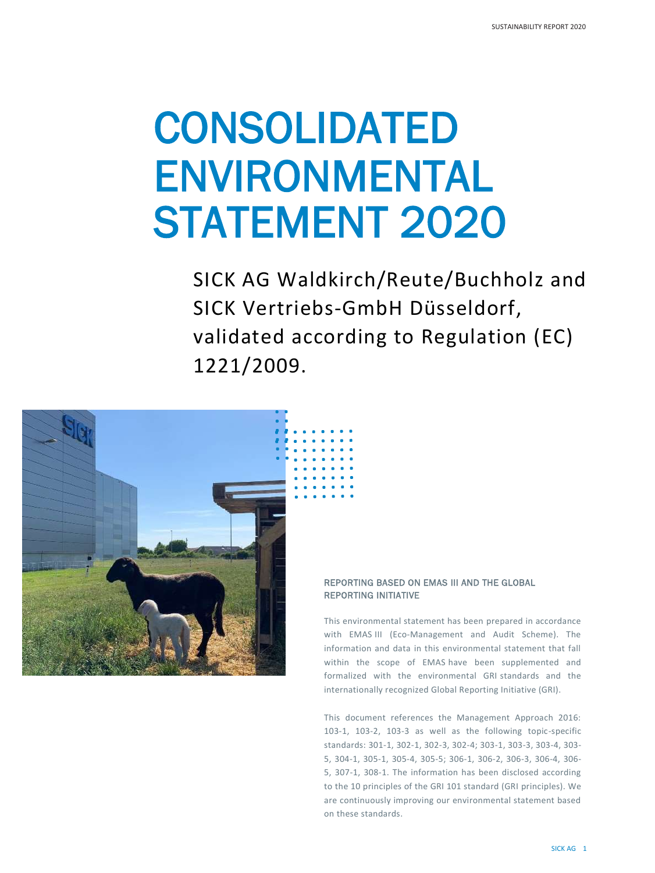# CONSOLIDATED ENVIRONMENTAL STATEMENT 2020

SICK AG Waldkirch/Reute/Buchholz and SICK Vertriebs-GmbH Düsseldorf, validated according to Regulation (EC) 1221/2009.



# REPORTING BASED ON EMAS III AND THE GLOBAL REPORTING INITIATIVE

This environmental statement has been prepared in accordance with EMAS III (Eco-Management and Audit Scheme). The information and data in this environmental statement that fall within the scope of EMAS have been supplemented and formalized with the environmental GRI standards and the internationally recognized Global Reporting Initiative (GRI).

This document references the Management Approach 2016: 103-1, 103-2, 103-3 as well as the following topic-specific standards: 301-1, 302-1, 302-3, 302-4; 303-1, 303-3, 303-4, 303- 5, 304-1, 305-1, 305-4, 305-5; 306-1, 306-2, 306-3, 306-4, 306- 5, 307-1, 308-1. The information has been disclosed according to the 10 principles of the GRI 101 standard (GRI principles). We are continuously improving our environmental statement based on these standards.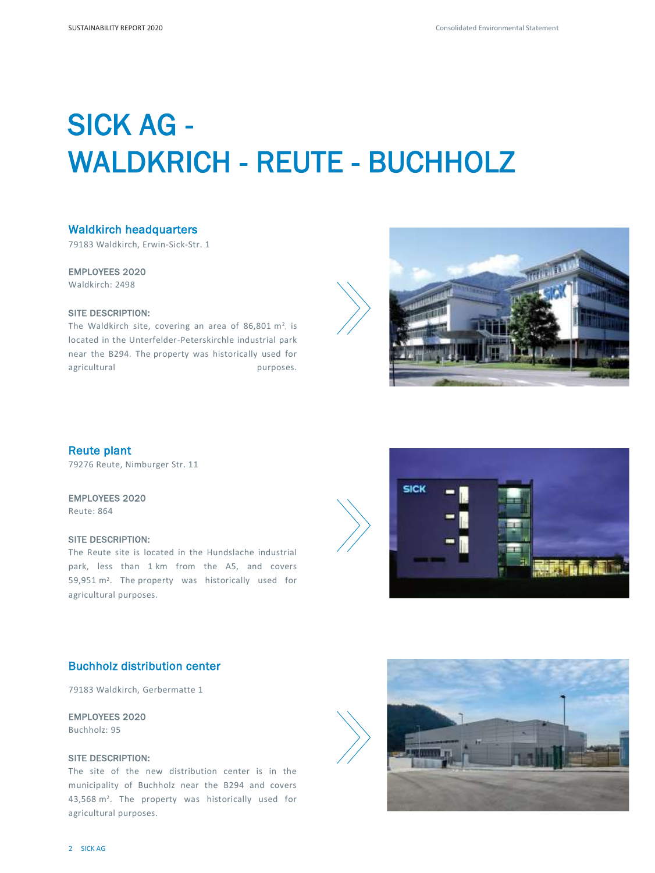# SICK AG - WALDKRICH - REUTE - BUCHHOLZ

# Waldkirch headquarters

79183 Waldkirch, Erwin-Sick-Str. 1

#### EMPLOYEES 2020

Waldkirch: 2498

# SITE DESCRIPTION:

The Waldkirch site, covering an area of 86,801  $m^2$ , is located in the Unterfelder-Peterskirchle industrial park near the B294. The property was historically used for agricultural purposes.



# Reute plant

79276 Reute, Nimburger Str. 11

# EMPLOYEES 2020

Reute: 864

## SITE DESCRIPTION:

The Reute site is located in the Hundslache industrial park, less than 1 km from the A5, and covers 59,951 m<sup>2</sup>. The property was historically used for agricultural purposes.





# Buchholz distribution center

79183 Waldkirch, Gerbermatte 1

# EMPLOYEES 2020

Buchholz: 95

# SITE DESCRIPTION:

The site of the new distribution center is in the municipality of Buchholz near the B294 and covers 43,568 m<sup>2</sup>. The property was historically used for agricultural purposes.

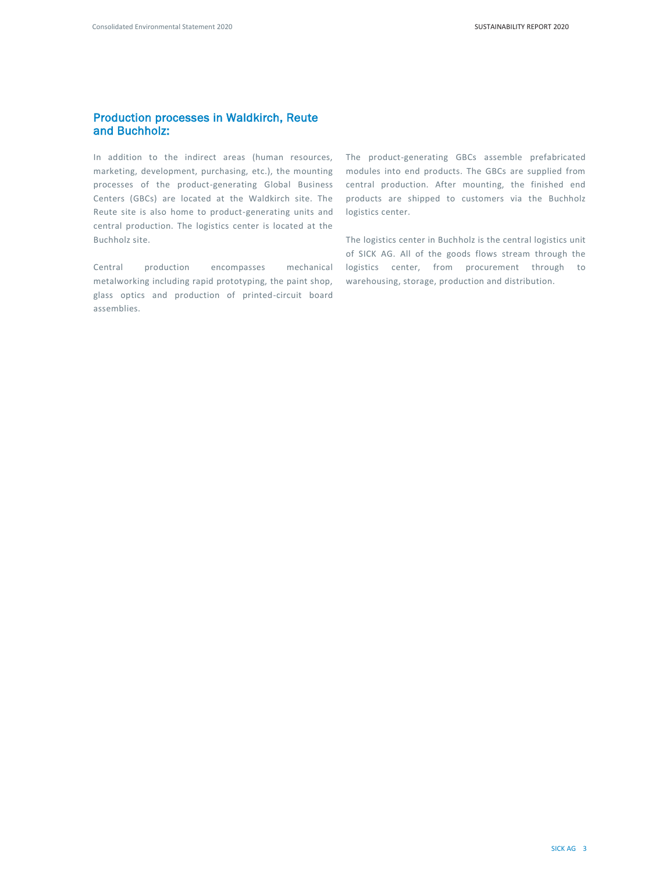# Production processes in Waldkirch, Reute and Buchholz:

In addition to the indirect areas (human resources, marketing, development, purchasing, etc.), the mounting processes of the product-generating Global Business Centers (GBCs) are located at the Waldkirch site. The Reute site is also home to product-generating units and central production. The logistics center is located at the Buchholz site.

Central production encompasses mechanical metalworking including rapid prototyping, the paint shop, glass optics and production of printed-circuit board assemblies.

The product-generating GBCs assemble prefabricated modules into end products. The GBCs are supplied from central production. After mounting, the finished end products are shipped to customers via the Buchholz logistics center.

The logistics center in Buchholz is the central logistics unit of SICK AG. All of the goods flows stream through the logistics center, from procurement through to warehousing, storage, production and distribution.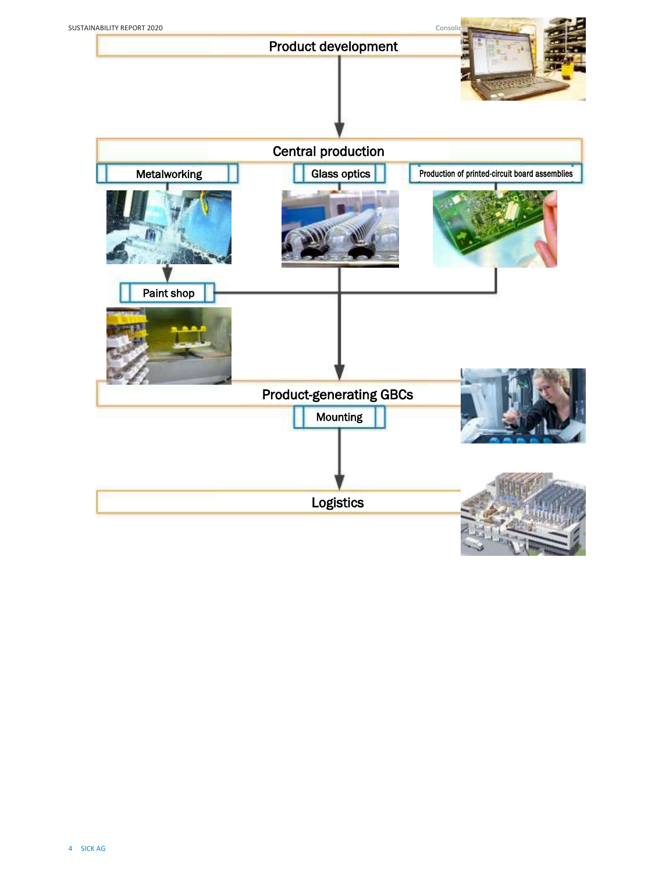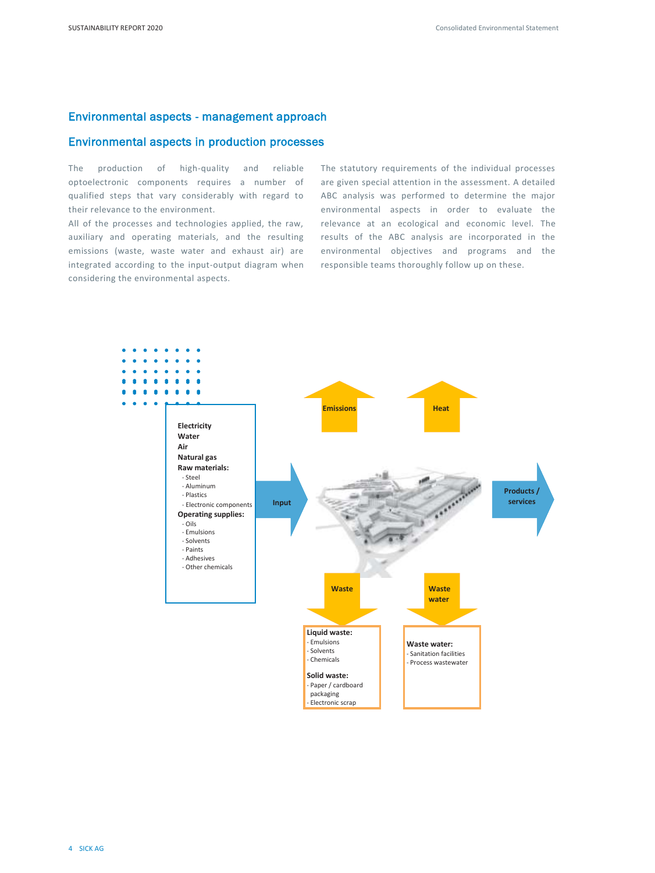# Environmental aspects - management approach

# Environmental aspects in production processes

The production of high-quality and reliable optoelectronic components requires a number of qualified steps that vary considerably with regard to their relevance to the environment.

All of the processes and technologies applied, the raw, auxiliary and operating materials, and the resulting emissions (waste, waste water and exhaust air) are integrated according to the input-output diagram when considering the environmental aspects.

The statutory requirements of the individual processes are given special attention in the assessment. A detailed ABC analysis was performed to determine the major environmental aspects in order to evaluate the relevance at an ecological and economic level. The results of the ABC analysis are incorporated in the environmental objectives and programs and the responsible teams thoroughly follow up on these.

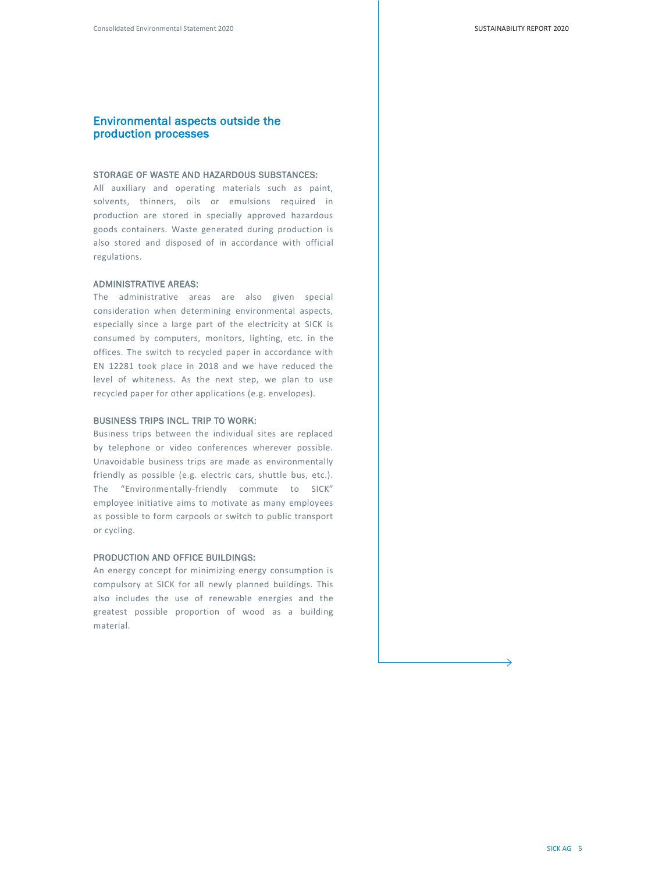# Environmental aspects outside the production processes

#### STORAGE OF WASTE AND HAZARDOUS SUBSTANCES:

All auxiliary and operating materials such as paint, solvents, thinners, oils or emulsions required in production are stored in specially approved hazardous goods containers. Waste generated during production is also stored and disposed of in accordance with official regulations.

#### ADMINISTRATIVE AREAS:

The administrative areas are also given special consideration when determining environmental aspects, especially since a large part of the electricity at SICK is consumed by computers, monitors, lighting, etc. in the offices. The switch to recycled paper in accordance with EN 12281 took place in 2018 and we have reduced the level of whiteness. As the next step, we plan to use recycled paper for other applications (e.g. envelopes).

#### BUSINESS TRIPS INCL. TRIP TO WORK:

Business trips between the individual sites are replaced by telephone or video conferences wherever possible. Unavoidable business trips are made as environmentally friendly as possible (e.g. electric cars, shuttle bus, etc.). The "Environmentally-friendly commute to SICK" employee initiative aims to motivate as many employees as possible to form carpools or switch to public transport or cycling.

#### PRODUCTION AND OFFICE BUILDINGS:

An energy concept for minimizing energy consumption is compulsory at SICK for all newly planned buildings. This also includes the use of renewable energies and the greatest possible proportion of wood as a building material.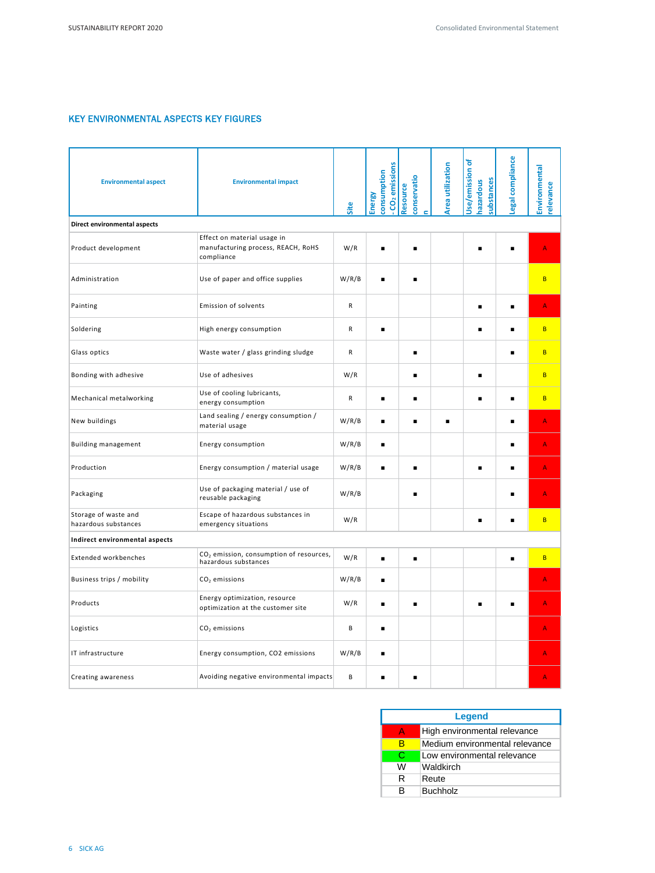# KEY ENVIRONMENTAL ASPECTS KEY FIGURES

| <b>Environmental aspect</b>                  | <b>Environmental impact</b>                                                     | Site  | CO <sub>2</sub> emissions<br>consumption<br>Energy | conservatio<br>Resource | <b>Area utilization</b> | ৳<br>Jse/emission<br>substances<br>hazardous | egal compliance | Environmental<br>relevance |
|----------------------------------------------|---------------------------------------------------------------------------------|-------|----------------------------------------------------|-------------------------|-------------------------|----------------------------------------------|-----------------|----------------------------|
| Direct environmental aspects                 |                                                                                 |       |                                                    |                         |                         |                                              |                 |                            |
| Product development                          | Effect on material usage in<br>manufacturing process, REACH, RoHS<br>compliance | W/R   |                                                    |                         |                         |                                              | п               | A                          |
| Administration                               | Use of paper and office supplies                                                | W/R/B | п                                                  | п                       |                         |                                              |                 | B                          |
| Painting                                     | Emission of solvents                                                            | R     |                                                    |                         |                         | $\blacksquare$                               | $\blacksquare$  | A                          |
| Soldering                                    | High energy consumption                                                         | R     | п                                                  |                         |                         |                                              | $\blacksquare$  | <b>B</b>                   |
| Glass optics                                 | Waste water / glass grinding sludge                                             | R     |                                                    | п                       |                         |                                              | $\blacksquare$  | B                          |
| Bonding with adhesive                        | Use of adhesives                                                                | W/R   |                                                    |                         |                         | п                                            |                 | B                          |
| Mechanical metalworking                      | Use of cooling lubricants,<br>energy consumption                                | R     | ٠                                                  |                         |                         |                                              | $\blacksquare$  | B                          |
| New buildings                                | Land sealing / energy consumption /<br>material usage                           | W/R/B | п                                                  |                         | ٠                       |                                              | $\blacksquare$  | A                          |
| <b>Building management</b>                   | Energy consumption                                                              | W/R/B | п                                                  |                         |                         |                                              | $\blacksquare$  | A                          |
| Production                                   | Energy consumption / material usage                                             | W/R/B | п                                                  | п                       |                         | п                                            | $\blacksquare$  | A                          |
| Packaging                                    | Use of packaging material / use of<br>reusable packaging                        | W/R/B |                                                    |                         |                         |                                              | п               | A                          |
| Storage of waste and<br>hazardous substances | Escape of hazardous substances in<br>emergency situations                       | W/R   |                                                    |                         |                         | п                                            | $\blacksquare$  | B                          |
| Indirect environmental aspects               |                                                                                 |       |                                                    |                         |                         |                                              |                 |                            |
| <b>Extended workbenches</b>                  | CO <sub>2</sub> emission, consumption of resources,<br>hazardous substances     | W/R   | ▬                                                  | ٠                       |                         |                                              | п               | B                          |
| Business trips / mobility                    | $CO2$ emissions                                                                 | W/R/B | ▪                                                  |                         |                         |                                              |                 | Ă                          |
| Products                                     | Energy optimization, resource<br>optimization at the customer site              | W/R   | $\blacksquare$                                     |                         |                         |                                              | $\blacksquare$  | A                          |
| Logistics                                    | $CO2$ emissions                                                                 | B     |                                                    |                         |                         |                                              |                 | A                          |
| IT infrastructure                            | Energy consumption, CO2 emissions                                               | W/R/B | п                                                  |                         |                         |                                              |                 | A                          |
| Creating awareness                           | Avoiding negative environmental impacts                                         | В     |                                                    |                         |                         |                                              |                 | A                          |

| Legend |                                |  |  |  |  |  |
|--------|--------------------------------|--|--|--|--|--|
|        | High environmental relevance   |  |  |  |  |  |
|        | Medium environmental relevance |  |  |  |  |  |
| C      | Low environmental relevance    |  |  |  |  |  |
| w      | Waldkirch                      |  |  |  |  |  |
| R      | Reute                          |  |  |  |  |  |
| в      | <b>Buchholz</b>                |  |  |  |  |  |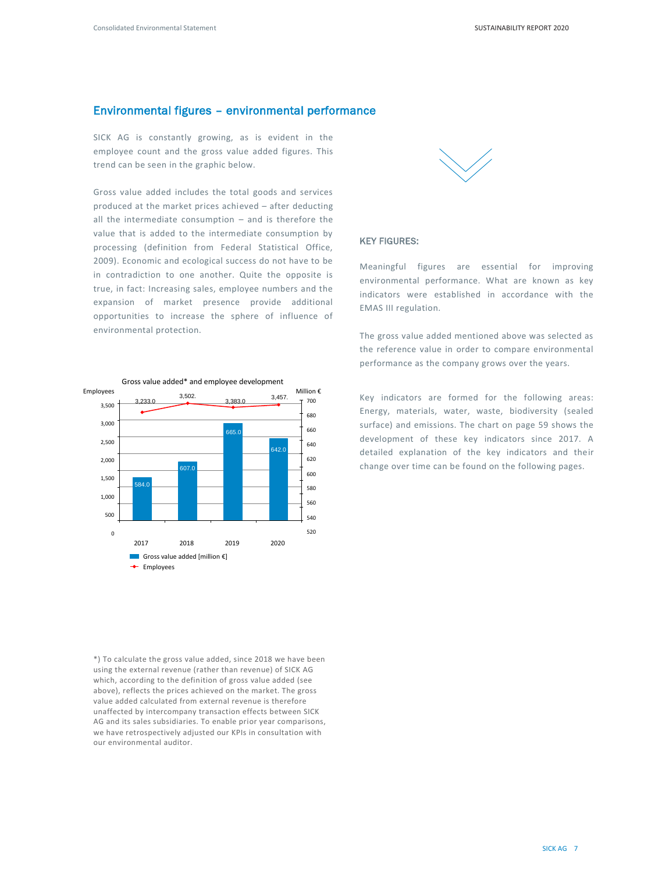# Environmental figures – environmental performance

SICK AG is constantly growing, as is evident in the employee count and the gross value added figures. This trend can be seen in the graphic below.

Gross value added includes the total goods and services produced at the market prices achieved – after deducting all the intermediate consumption – and is therefore the value that is added to the intermediate consumption by processing (definition from Federal Statistical Office, 2009). Economic and ecological success do not have to be in contradiction to one another. Quite the opposite is true, in fact: Increasing sales, employee numbers and the expansion of market presence provide additional opportunities to increase the sphere of influence of environmental protection.



\*) To calculate the gross value added, since 2018 we have been using the external revenue (rather than revenue) of SICK AG which, according to the definition of gross value added (see above), reflects the prices achieved on the market. The gross value added calculated from external revenue is therefore unaffected by intercompany transaction effects between SICK AG and its sales subsidiaries. To enable prior year comparisons, we have retrospectively adjusted our KPIs in consultation with our environmental auditor.



#### KEY FIGURES:

Meaningful figures are essential for improving environmental performance. What are known as key indicators were established in accordance with the EMAS III regulation.

The gross value added mentioned above was selected as the reference value in order to compare environmental performance as the company grows over the years.

Key indicators are formed for the following areas: Energy, materials, water, waste, biodiversity (sealed surface) and emissions. The chart on page 59 shows the development of these key indicators since 2017. A detailed explanation of the key indicators and their change over time can be found on the following pages.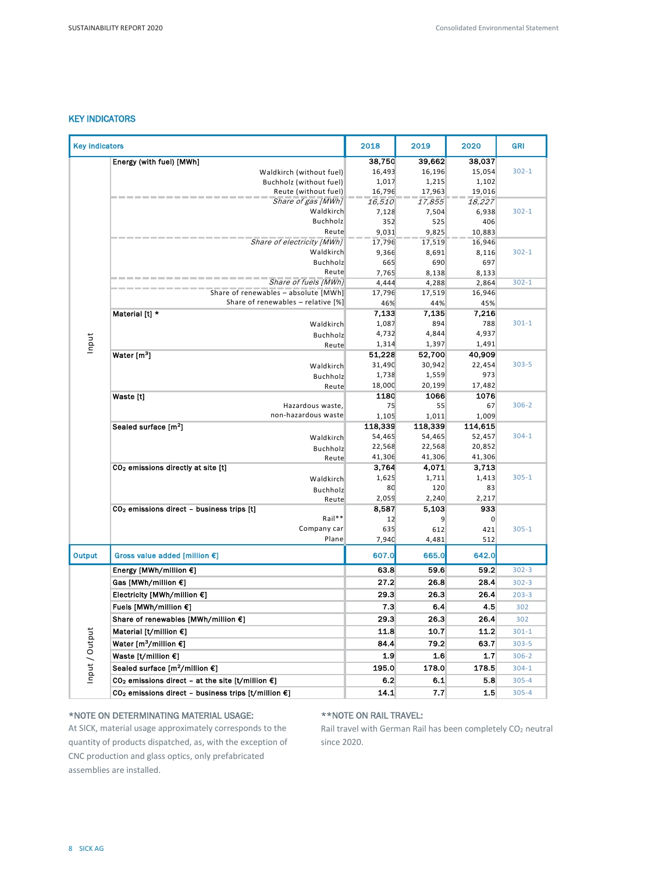# KEY INDICATORS

| <b>Key indicators</b> |                                                                           | 2018            | 2019            | 2020             | <b>GRI</b> |
|-----------------------|---------------------------------------------------------------------------|-----------------|-----------------|------------------|------------|
|                       | Energy (with fuel) [MWh]                                                  | 38,750          | 39,662          | 38,037           |            |
|                       | Waldkirch (without fuel)                                                  | 16,493          | 16,196          | 15,054           | $302 - 1$  |
|                       | Buchholz (without fuel)                                                   | 1,017           | 1,215           | 1,102            |            |
|                       | Reute (without fuel)                                                      | 16,796          | 17,963          | 19,016           |            |
|                       | Share of gas [MWh]                                                        | 16,510          | 17,855          | 18,227           |            |
|                       | Waldkirch                                                                 | 7,128           | 7,504           | 6,938            | $302 - 1$  |
|                       | <b>Buchholz</b><br>Reute                                                  | 352             | 525             | 406              |            |
|                       | Share of electricity [MWh]                                                | 9,031<br>17,796 | 9,825<br>17,519 | 10,883<br>16,946 |            |
|                       | Waldkirch                                                                 | 9,366           | 8,691           | 8,116            | $302 - 1$  |
|                       | Buchholz                                                                  | 665             | 690             | 697              |            |
|                       | Reute                                                                     | 7,765           | 8,138           | 8,133            |            |
|                       | Share of fuels (MWh)                                                      | 4,444           | 4,288           | 2,864            | $302 - 1$  |
|                       | Share of renewables - absolute [MWh]                                      | 17,796          | 17,519          | 16,946           |            |
|                       | Share of renewables - relative [%]                                        | 46%             | 44%             | 45%              |            |
|                       | Material [t] *                                                            | 7,133           | 7,135           | 7,216            |            |
|                       | Waldkirch                                                                 | 1,087           | 894             | 788              | $301 - 1$  |
|                       | Buchholz                                                                  | 4,732           | 4,844           | 4,937            |            |
| Input                 | Reute                                                                     | 1,314           | 1,397           | 1,491            |            |
|                       | Water [m <sup>3</sup> ]                                                   | 51,228          | 52,700          | 40,909           | $303 - 5$  |
|                       | Waldkirch                                                                 | 31,490<br>1,738 | 30,942<br>1,559 | 22,454<br>973    |            |
|                       | Buchholz                                                                  | 18,000          | 20,199          | 17,482           |            |
|                       | Reute<br>Waste [t]                                                        | 1180            | 1066            | 1076             |            |
|                       | Hazardous waste,                                                          | 75              | 55              | 67               | $306 - 2$  |
|                       | non-hazardous waste                                                       | 1,105           | 1,011           | 1,009            |            |
|                       | Sealed surface [m <sup>2</sup> ]                                          | 118,339         | 118,339         | 114,615          |            |
|                       | Waldkirch                                                                 | 54,465          | 54,465          | 52,457           | $304 - 1$  |
|                       | Buchholz                                                                  | 22,568          | 22,568          | 20,852           |            |
|                       | Reute                                                                     | 41,306          | 41,306          | 41,306           |            |
|                       | CO <sub>2</sub> emissions directly at site [t]                            | 3,764           | 4,071           | 3,713            |            |
|                       | Waldkirch                                                                 | 1,625           | 1,711           | 1,413            | $305 - 1$  |
|                       | Buchholz                                                                  | 80              | 120             | 83               |            |
|                       | Reute                                                                     | 2,059           | 2,240           | 2,217            |            |
|                       | CO <sub>2</sub> emissions direct - business trips [t]<br>Rail**           | 8,587<br>12     | 5,103<br>9      | 933<br>0         |            |
|                       | Company car                                                               | 635             | 612             | 421              | $305 - 1$  |
|                       | Plane                                                                     | 7,940           | 4,481           | 512              |            |
| <b>Output</b>         | Gross value added [million €]                                             | 607.0           | 665.0           | 642.0            |            |
|                       | Energy [MWh/million €]                                                    | 63.8            | 59.6            | 59.2             | $302 - 3$  |
|                       | Gas [MWh/million €]                                                       | 27.2            | 26.8            | 28.4             | $302 - 3$  |
|                       | Electricity [MWh/million €]                                               | 29.3            | 26.3            | 26.4             | $203 - 3$  |
|                       | Fuels [MWh/million €]                                                     | 7.3             | 6.4             | 4.5              | 302        |
|                       | Share of renewables [MWh/million €]                                       | 29.3            | 26.3            | 26.4             | 302        |
|                       | Material [t/million $\epsilon$ ]                                          | 11.8            | 10.7            | 11.2             | $301 - 1$  |
|                       | Water [m <sup>3</sup> /million $\epsilon$ ]                               | 84.4            | 79.2            | 63.7             | $303 - 5$  |
| Input / Output        | Waste [t/million $\epsilon$ ]                                             | 1.9             | 1.6             | 1.7              | $306 - 2$  |
|                       | Sealed surface [m <sup>2</sup> /million €]                                | 195.0           | 178.0           | 178.5            | $304 - 1$  |
|                       | CO <sub>2</sub> emissions direct - at the site [t/million $\epsilon$ ]    | 6.2             | 6.1             | 5.8              | $305 - 4$  |
|                       | CO <sub>2</sub> emissions direct - business trips [t/million $\epsilon$ ] | 14.1            | 7.7             | 1.5              | $305 - 4$  |

#### \*NOTE ON DETERMINATING MATERIAL USAGE:

At SICK, material usage approximately corresponds to the quantity of products dispatched, as, with the exception of CNC production and glass optics, only prefabricated assemblies are installed.

# \*\*NOTE ON RAIL TRAVEL:

Rail travel with German Rail has been completely  $CO<sub>2</sub>$  neutral since 2020.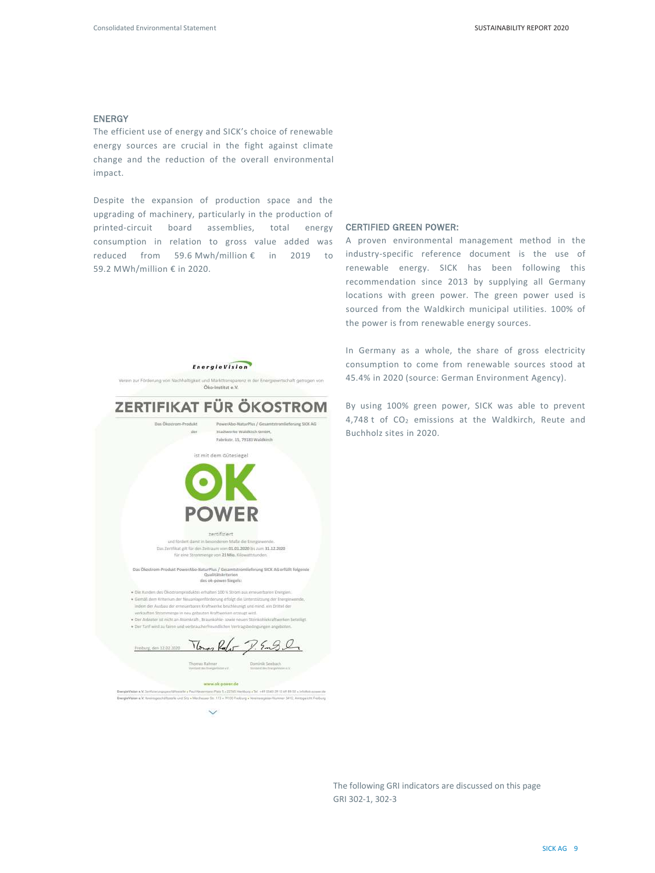#### ENERGY

The efficient use of energy and SICK's choice of renewable energy sources are crucial in the fight against climate change and the reduction of the overall environmental impact.

Despite the expansion of production space and the upgrading of machinery, particularly in the production of printed-circuit board assemblies, total energy consumption in relation to gross value added was reduced from 59.6 Mwh/million € in 2019 to 59.2 MWh/million € in 2020.

#### CERTIFIED GREEN POWER:

A proven environmental management method in the industry-specific reference document is the use of renewable energy. SICK has been following this recommendation since 2013 by supplying all Germany locations with green power. The green power used is sourced from the Waldkirch municipal utilities. 100% of the power is from renewable energy sources.

In Germany as a whole, the share of gross electricity consumption to come from renewable sources stood at 45.4% in 2020 (source: German Environment Agency).

By using 100% green power, SICK was able to prevent 4,748 t of  $CO<sub>2</sub>$  emissions at the Waldkirch, Reute and Buchholz sites in 2020.



EnergieVision

zertifiziert und fördert damit in besonderem Maße die Energiewende.<br>Das Zerrifikat gilt für den Zeitraum vom 01.01.2020 bis zum 31.12.2020 für eine Strommenge von 21 Mia. Klowattstud

 $\label{thm:main} \begin{minipage}[t]{0.9\textwidth} \begin{minipage}[t]{0.9\textwidth} \begin{minipage}[t]{0.9\textwidth} \begin{minipage}[t]{0.9\textwidth} \begin{minipage}[t]{0.9\textwidth} \begin{minipage}[t]{0.9\textwidth} \begin{minipage}[t]{0.9\textwidth} \begin{minipage}[t]{0.9\textwidth} \begin{minipage}[t]{0.9\textwidth} \begin{minipage}[t]{0.9\textwidth} \begin{minipage}[t]{0.9\textwidth} \begin{minipage}[t]{0.9\textwidth} \begin{minipage}[t]{0.9\textwidth} \begin{min$ 

· Die Kunden des Ökostromproduktes erhalten 100 % Strom aus erneu .<br>Gemäß dem Kriterium der Neuzolagenförderung erfolgt die Unterstützung der Energien<br>Indem der Ausbau der erneuerbaren Kraftwerke beschleunigt und nund, ein Drittel der verkauften Strommenge in neu gebauten Kraftwerken erzeugt wird. . Der Anbieter ist nicht zo Atomkraft. Resunkohle- sowie nauen Steinkohlekraftigmien.

Tonas Rafor  $P.5 - 9 -$ Friedrung, dan 12.02.2021

www.nk-power.de **minus ob power.de**<br>specializante - Pas Meemmer Pair I - 2005 Methors - Tot - + P 1000 39 10 69 RM - Infance<br>illuminis ond Ste + Mechanne (m. 113 - 1910) Pretony - Ventrongalair (formar 311), Armyoni **EnergiaVision e.V. Venting** at Mill Arrenter's Feature

 $\ddot{\phantom{1}}$ 

The following GRI indicators are discussed on this page GRI 302-1, 302-3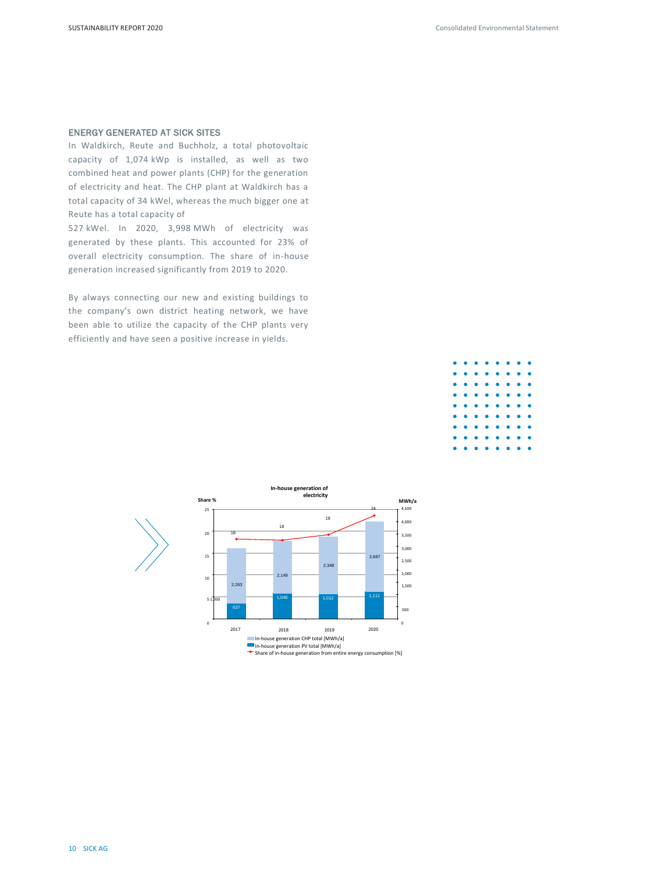### ENERGY GENERATED AT SICK SITES

In Waldkirch, Reute and Buchholz, a total photovoltaic capacity of 1,074 kWp is installed, as well as two combined heat and power plants (CHP) for the generation of electricity and heat. The CHP plant at Waldkirch has a total capacity of 34 kWel, whereas the much bigger one at Reute has a total capacity of

527 kWel. In 2020, 3,998 MWh of electricity was generated by these plants. This accounted for 23% of overall electricity consumption. The share of in-house generation increased significantly from 2019 to 2020.

By always connecting our new and existing buildings to the company's own district heating network, we have been able to utilize the capacity of the CHP plants very efficiently and have seen a positive increase in yields.



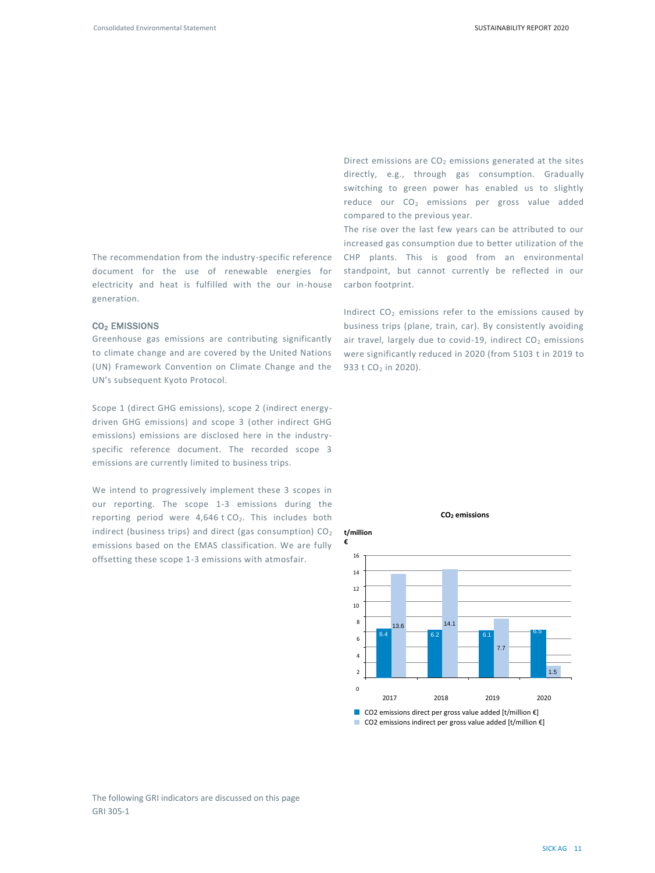The recommendation from the industry-specific reference document for the use of renewable energies for electricity and heat is fulfilled with the our in-house generation.

#### CO2 EMISSIONS

Greenhouse gas emissions are contributing significantly to climate change and are covered by the United Nations (UN) Framework Convention on Climate Change and the UN's subsequent Kyoto Protocol.

Scope 1 (direct GHG emissions), scope 2 (indirect energydriven GHG emissions) and scope 3 (other indirect GHG emissions) emissions are disclosed here in the industryspecific reference document. The recorded scope 3 emissions are currently limited to business trips.

We intend to progressively implement these 3 scopes in our reporting. The scope 1-3 emissions during the reporting period were  $4,646$  t CO<sub>2</sub>. This includes both indirect (business trips) and direct (gas consumption)  $CO<sub>2</sub>$ emissions based on the EMAS classification. We are fully offsetting these scope 1-3 emissions with atmosfair.

Direct emissions are  $CO<sub>2</sub>$  emissions generated at the sites directly, e.g., through gas consumption. Gradually switching to green power has enabled us to slightly reduce our  $CO<sub>2</sub>$  emissions per gross value added compared to the previous year.

The rise over the last few years can be attributed to our increased gas consumption due to better utilization of the CHP plants. This is good from an environmental standpoint, but cannot currently be reflected in our carbon footprint.

Indirect  $CO<sub>2</sub>$  emissions refer to the emissions caused by business trips (plane, train, car). By consistently avoiding air travel, largely due to covid-19, indirect  $CO<sub>2</sub>$  emissions were significantly reduced in 2020 (from 5103 t in 2019 to 933 t CO<sub>2</sub> in 2020).



**CO<sup>2</sup> emissions**

■ CO2 emissions indirect per gross value added [t/million €]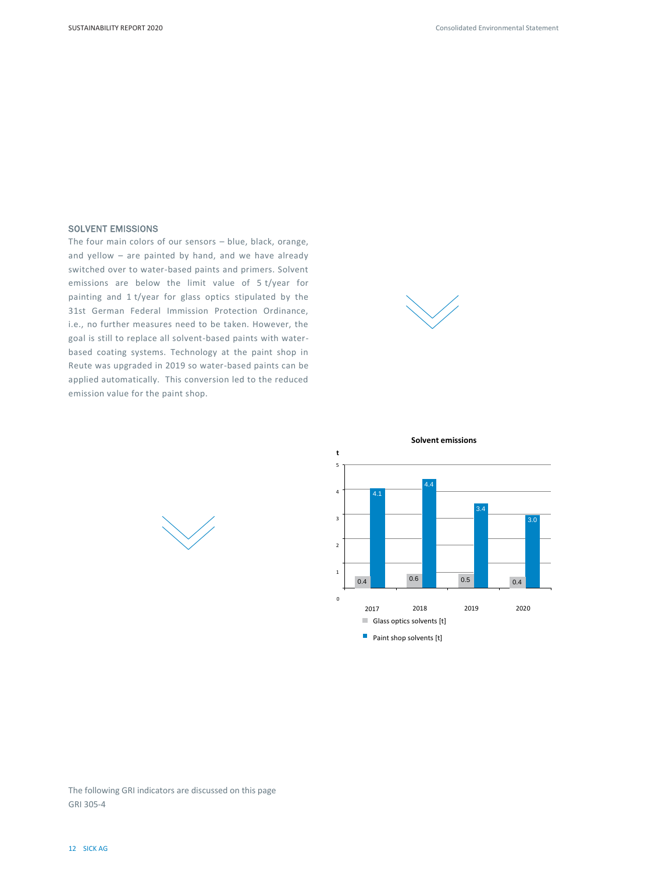#### SOLVENT EMISSIONS

The four main colors of our sensors – blue, black, orange, and yellow – are painted by hand, and we have already switched over to water-based paints and primers. Solvent emissions are below the limit value of 5 t/year for painting and 1 t/year for glass optics stipulated by the 31st German Federal Immission Protection Ordinance, i.e., no further measures need to be taken. However, the goal is still to replace all solvent-based paints with waterbased coating systems. Technology at the paint shop in Reute was upgraded in 2019 so water-based paints can be applied automatically. This conversion led to the reduced emission value for the paint shop.





#### **Solvent emissions**

The following GRI indicators are discussed on this page GRI 305-4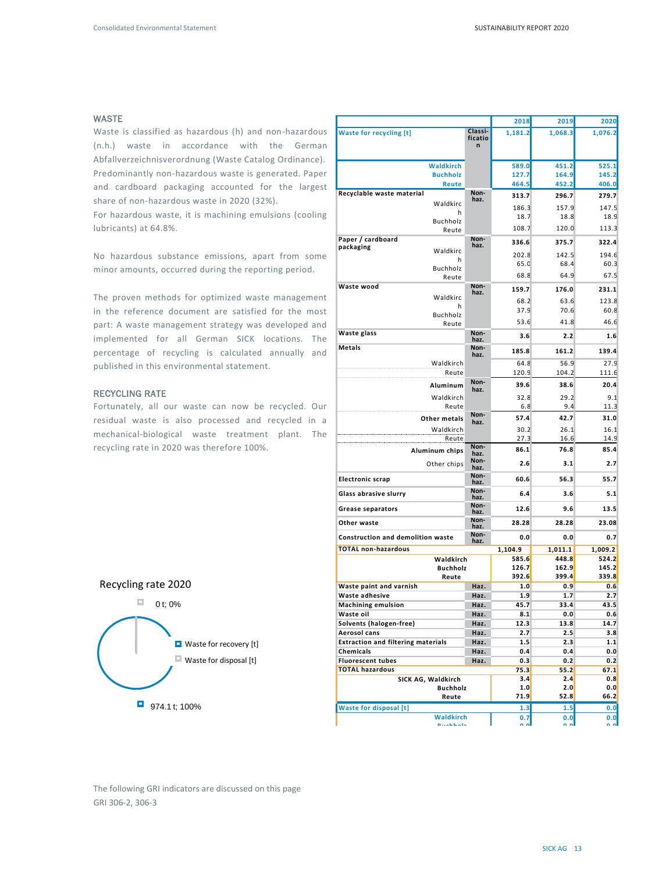#### WASTE

Waste is classified as hazardous (h) and non-hazardous (n.h.) waste in accordance with the German Abfallverzeichnisverordnung (Waste Catalog Ordinance). Predominantly non-hazardous waste is generated. Paper and cardboard packaging accounted for the largest share of non-hazardous waste in 2020 (32%).

For hazardous waste, it is machining emulsions (cooling lubricants) at 64.8%.

No hazardous substance emissions, apart from some minor amounts, occurred during the reporting period.

The proven methods for optimized waste management in the reference document are satisfied for the most part: A waste management strategy was developed and implemented for all German SICK locations. The percentage of recycling is calculated annually and published in this environmental statement.

#### RECYCLING RATE

Fortunately, all our waste can now be recycled. Our residual waste is also processed and recycled in a mechanical-biological waste treatment plant. The recycling rate in 2020 was therefore 100%.

|                                                   |                    | 2018        | 2019        | 2020        |
|---------------------------------------------------|--------------------|-------------|-------------|-------------|
| <b>Waste for recycling [t]</b>                    | Classi-<br>ficatio | 1,181.2     | 1,068.3     | 1,076.2     |
|                                                   | n                  |             |             |             |
|                                                   |                    |             |             |             |
| Waldkirch                                         |                    | 589.0       | 451.2       | 525.1       |
| <b>Buchholz</b>                                   |                    | 127.7       | 164.9       | 145.2       |
| <b>Reute</b><br>Recyclable waste material         | Non-               | 464.5       | 452.2       | 406.0       |
| Waldkirc                                          | haz.               | 313.7       | 296.7       | 279.7       |
| h                                                 |                    | 186.3       | 157.9       | 147.5       |
| Buchholz                                          |                    | 18.7        | 18.8        | 18.9        |
| Reute                                             |                    | 108.7       | 120.0       | 113.3       |
| Paper / cardboard                                 | Non-<br>haz.       | 336.6       | 375.7       | 322.4       |
| packaging<br>Waldkirc                             |                    | 202.8       | 142.5       | 194.6       |
| h                                                 |                    | 65.0        | 68.4        | 60.3        |
| Buchholz                                          |                    | 68.8        | 64.9        | 67.5        |
| Reute<br>Waste wood                               | Non-               |             |             |             |
| Waldkirc                                          | haz.               | 159.7       | 176.0       | 231.1       |
| h                                                 |                    | 68.2        | 63.6        | 123.8       |
| Buchholz                                          |                    | 37.9        | 70.6        | 60.8        |
| Reute                                             |                    | 53.6        | 41.8        | 46.6        |
| Waste glass                                       | Non-<br>haz.       | 3.6         | 2.2         | 1.6         |
| Metals                                            | Non-<br>haz.       | 185.8       | 161.2       | 139.4       |
| Waldkirch                                         |                    | 64.8        | 56.9        | 27.9        |
| Reute                                             |                    | 120.9       | 104.2       | 111.6       |
| Aluminum                                          | Non-               | 39.6        | 38.6        | 20.4        |
|                                                   | haz.               |             |             |             |
| Waldkirch                                         |                    | 32.8        | 29.2        | 9.1         |
| Reute                                             | Non-               | 6.8         | 9.4         | 11.3        |
| Other metals                                      | haz.               | 57.4        | 42.7        | 31.0        |
| Waldkirch                                         |                    | 30.2        | 26.1        | 16.1        |
| Reute                                             | Non-               | 27.3        | 16.6        | 14.9        |
| Aluminum chips                                    | haz.               | 86.1        | 76.8        | 85.4        |
| Other chips                                       | Non-<br>haz.       | 2.6         | 3.1         | 2.7         |
| <b>Electronic scrap</b>                           | Non-<br>haz.       | 60.6        | 56.3        | 55.7        |
| Glass abrasive slurry                             | Non-               | 6.4         | 3.6         | 5.1         |
| <b>Grease separators</b>                          | haz.<br>Non-       | 12.6        | 9.6         | 13.5        |
|                                                   | haz.<br>Non-       |             |             |             |
| Other waste                                       | haz.<br>Non-       | 28.28       | 28.28       | 23.08       |
| <b>Construction and demolition waste</b>          | haz.               | 0.0         | 0.0         | 0.7         |
| <b>TOTAL non-hazardous</b>                        |                    | 1,104.9     | 1,011.1     | 1,009.2     |
| Waldkirch                                         |                    | 585.6       | 448.8       | 524.2       |
| <b>Buchholz</b>                                   |                    | 126.7       | 162.9       | 145.2       |
| Reute                                             |                    | 392.6       | 399.4       | 339.8       |
| Waste paint and varnish                           | Haz.               | 1.0         | 0.9         | 0.6         |
| Waste adhesive                                    | Haz.               | 1.9         | 1.7         | 2.7         |
| <b>Machining emulsion</b><br>Waste oil            | Haz.<br>Haz.       | 45.7<br>8.1 | 33.4<br>0.0 | 43.5<br>0.6 |
| Solvents (halogen-free)                           | Haz.               | 12.3        | 13.8        | 14.7        |
| Aerosol cans                                      | Haz.               | 2.7         | 2.5         | 3.8         |
| <b>Extraction and filtering materials</b>         | Haz.               | 1.5         | 2.3         | 1.1         |
| Chemicals                                         | Haz.               | 0.4         | 0.4         | 0.0         |
| <b>Fluorescent tubes</b>                          | Haz.               | 0.3         | 0.2         | 0.2         |
| <b>TOTAL hazardous</b>                            |                    | 75.3        | 55.2        | 67.1        |
| SICK AG, Waldkirch                                |                    | 3.4         | 2.4         | 0.8         |
|                                                   |                    | 1.0         | 2.0         | 0.0         |
| <b>Buchholz</b>                                   |                    |             |             |             |
| Reute                                             |                    | 71.9        | 52.8        |             |
| <b>Waste for disposal [t]</b><br><b>Waldkirch</b> |                    | 1.3         | 1.5         | 66.2<br>0.0 |



974.1 t; 100%

The following GRI indicators are discussed on this page GRI 306-2, 306-3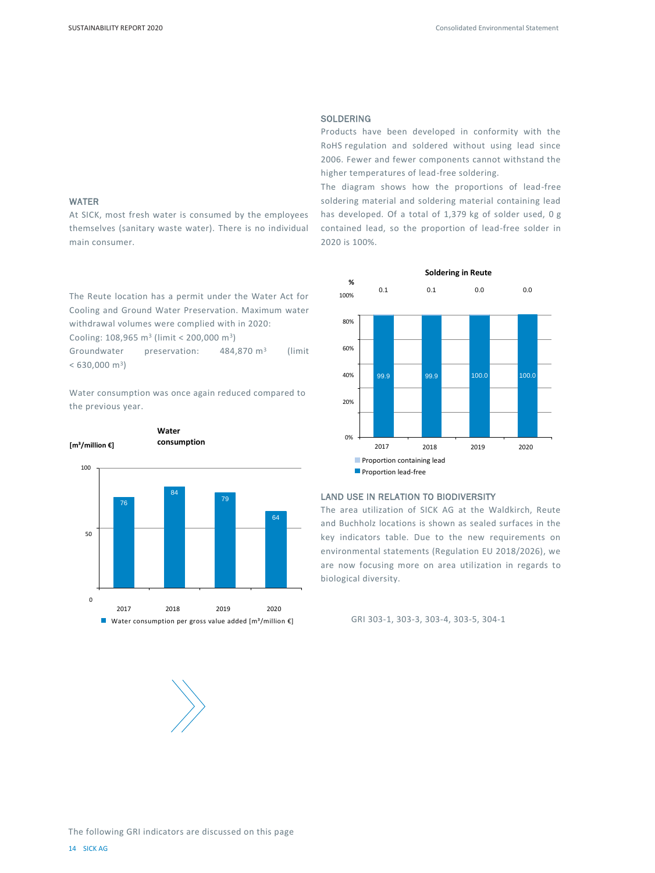#### WATER

At SICK, most fresh water is consumed by the employees themselves (sanitary waste water). There is no individual main consumer.

The Reute location has a permit under the Water Act for Cooling and Ground Water Preservation. Maximum water withdrawal volumes were complied with in 2020:

Cooling:  $108,965 \text{ m}^3$  (limit < 200,000 m<sup>3</sup>)

Groundwater preservation: 484,870 m<sup>3</sup> (limit  $< 630,000 \text{ m}^3$ 

Water consumption was once again reduced compared to the previous year.





#### **SOLDERING**

Products have been developed in conformity with the RoHS regulation and soldered without using lead since 2006. Fewer and fewer components cannot withstand the higher temperatures of lead-free soldering.

The diagram shows how the proportions of lead-free soldering material and soldering material containing lead has developed. Of a total of 1,379 kg of solder used, 0 g contained lead, so the proportion of lead-free solder in 2020 is 100%.



#### LAND USE IN RELATION TO BIODIVERSITY

The area utilization of SICK AG at the Waldkirch, Reute and Buchholz locations is shown as sealed surfaces in the key indicators table. Due to the new requirements on environmental statements (Regulation EU 2018/2026), we are now focusing more on area utilization in regards to biological diversity.

GRI 303-1, 303-3, 303-4, 303-5, 304-1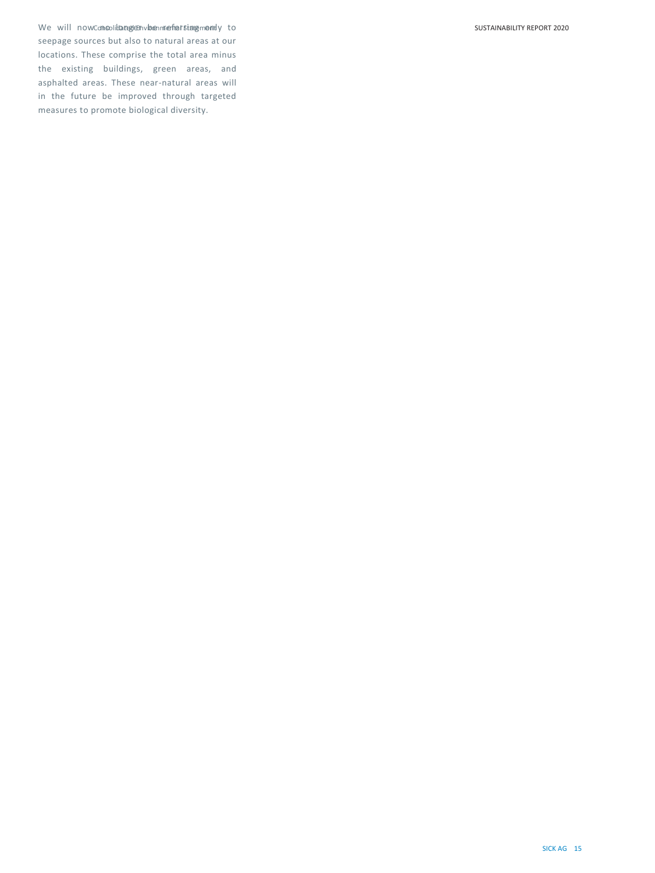We will now consolidatege Enviroenmenfratsinge memily to seepage sources but also to natural areas at our locations. These comprise the total area minus the existing buildings, green areas, and asphalted areas. These near-natural areas will in the future be improved through targeted measures to promote biological diversity.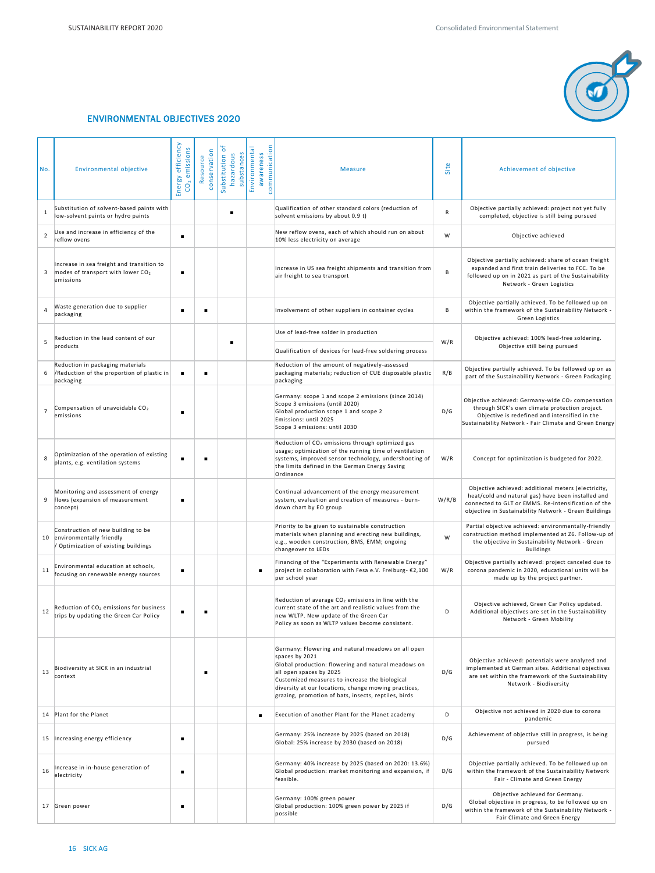

# ENVIRONMENTAL OBJECTIVES 2020

| No.            | <b>Environmental objective</b>                                                                          | Energy efficiency<br>CO <sub>2</sub> emissions | conservation<br>Resource | Substitution of<br>substances<br>hazardous | communication<br>Environmental<br>awareness | <b>Measure</b>                                                                                                                                                                                                                                                                                                           | Site      | Achievement of objective                                                                                                                                                                                                   |
|----------------|---------------------------------------------------------------------------------------------------------|------------------------------------------------|--------------------------|--------------------------------------------|---------------------------------------------|--------------------------------------------------------------------------------------------------------------------------------------------------------------------------------------------------------------------------------------------------------------------------------------------------------------------------|-----------|----------------------------------------------------------------------------------------------------------------------------------------------------------------------------------------------------------------------------|
| $\mathbf{1}$   | Substitution of solvent-based paints with<br>low-solvent paints or hydro paints                         |                                                |                          |                                            |                                             | Qualification of other standard colors (reduction of<br>solvent emissions by about 0.9 t)                                                                                                                                                                                                                                | ${\sf R}$ | Objective partially achieved: project not yet fully<br>completed, objective is still being pursued                                                                                                                         |
| $\overline{2}$ | Use and increase in efficiency of the<br>reflow ovens                                                   | $\blacksquare$                                 |                          |                                            |                                             | New reflow ovens, each of which should run on about<br>10% less electricity on average                                                                                                                                                                                                                                   | W         | Objective achieved                                                                                                                                                                                                         |
| 3              | Increase in sea freight and transition to<br>modes of transport with lower CO <sub>2</sub><br>emissions | ٠                                              |                          |                                            |                                             | Increase in US sea freight shipments and transition from<br>air freight to sea transport                                                                                                                                                                                                                                 | В         | Objective partially achieved: share of ocean freight<br>expanded and first train deliveries to FCC. To be<br>followed up on in 2021 as part of the Sustainability<br>Network - Green Logistics                             |
| 4              | Waste generation due to supplier<br>packaging                                                           |                                                | ٠                        |                                            |                                             | Involvement of other suppliers in container cycles                                                                                                                                                                                                                                                                       | В         | Objective partially achieved. To be followed up on<br>within the framework of the Sustainability Network -<br>Green Logistics                                                                                              |
| 5              | Reduction in the lead content of our                                                                    |                                                |                          |                                            |                                             | Use of lead-free solder in production                                                                                                                                                                                                                                                                                    | W/R       | Objective achieved: 100% lead-free soldering.                                                                                                                                                                              |
|                | products                                                                                                |                                                |                          |                                            |                                             | Qualification of devices for lead-free soldering process                                                                                                                                                                                                                                                                 |           | Objective still being pursued                                                                                                                                                                                              |
|                | Reduction in packaging materials<br>/Reduction of the proportion of plastic in<br>packaging             |                                                | ٠                        |                                            |                                             | Reduction of the amount of negatively-assessed<br>packaging materials; reduction of CUE disposable plastic<br>packaging                                                                                                                                                                                                  | R/B       | Objective partially achieved. To be followed up on as<br>part of the Sustainability Network - Green Packaging                                                                                                              |
| $\overline{7}$ | Compensation of unavoidable CO2<br>emissions                                                            |                                                |                          |                                            |                                             | Germany: scope 1 and scope 2 emissions (since 2014)<br>Scope 3 emissions (until 2020)<br>Global production scope 1 and scope 2<br>Emissions: until 2025<br>Scope 3 emissions: until 2030                                                                                                                                 | D/G       | Objective achieved: Germany-wide CO <sub>2</sub> compensation<br>through SICK's own climate protection project.<br>Objective is redefined and intensified in the<br>Sustainability Network - Fair Climate and Green Energy |
| 8              | Optimization of the operation of existing<br>plants, e.g. ventilation systems                           |                                                |                          |                                            |                                             | Reduction of CO <sub>2</sub> emissions through optimized gas<br>usage; optimization of the running time of ventilation<br>systems, improved sensor technology, undershooting of<br>the limits defined in the German Energy Saving<br>Ordinance                                                                           | W/R       | Concept for optimization is budgeted for 2022.                                                                                                                                                                             |
| 9              | Monitoring and assessment of energy<br>flows (expansion of measurement<br>concept)                      | ٠                                              |                          |                                            |                                             | Continual advancement of the energy measurement<br>system, evaluation and creation of measures - burn-<br>down chart by EO group                                                                                                                                                                                         | W/R/B     | Objective achieved: additional meters (electricity,<br>heat/cold and natural gas) have been installed and<br>connected to GLT or EMMS. Re-intensification of the<br>objective in Sustainability Network - Green Buildings  |
|                | Construction of new building to be<br>10 environmentally friendly<br>Optimization of existing buildings |                                                |                          |                                            |                                             | Priority to be given to sustainable construction<br>materials when planning and erecting new buildings,<br>e.g., wooden construction, BMS, EMM; ongoing<br>changeover to LEDs                                                                                                                                            | W         | Partial objective achieved: environmentally-friendly<br>construction method implemented at Z6. Follow-up of<br>the objective in Sustainability Network - Green<br><b>Buildings</b>                                         |
| 11             | Environmental education at schools,<br>focusing on renewable energy sources                             | ٠                                              |                          |                                            |                                             | Financing of the "Experiments with Renewable Energy"<br>project in collaboration with Fesa e.V. Freiburg- €2,100<br>per school year                                                                                                                                                                                      | W/R       | Objective partially achieved: project canceled due to<br>corona pandemic in 2020, educational units will be<br>made up by the project partner.                                                                             |
|                | Reduction of CO <sub>2</sub> emissions for business<br>trips by updating the Green Car Policy           |                                                | п                        |                                            |                                             | Reduction of average CO <sub>2</sub> emissions in line with the<br>current state of the art and realistic values from the<br>new WLTP. New update of the Green Car<br>Policy as soon as WLTP values become consistent.                                                                                                   | D         | Objective achieved, Green Car Policy updated.<br>Additional objectives are set in the Sustainability<br>Network - Green Mobility                                                                                           |
| 13             | Biodiversity at SICK in an industrial<br>context                                                        |                                                |                          |                                            |                                             | Germany: Flowering and natural meadows on all open<br>spaces by 2021<br>Global production: flowering and natural meadows on<br>all open spaces by 2025<br>Customized measures to increase the biological<br>diversity at our locations, change mowing practices,<br>grazing, promotion of bats, insects, reptiles, birds | D/G       | Objective achieved: potentials were analyzed and<br>implemented at German sites. Additional objectives<br>are set within the framework of the Sustainability<br>Network - Biodiversity                                     |
|                | 14 Plant for the Planet                                                                                 |                                                |                          |                                            |                                             | Execution of another Plant for the Planet academy                                                                                                                                                                                                                                                                        | D         | Objective not achieved in 2020 due to corona<br>pandemic                                                                                                                                                                   |
|                | 15   Increasing energy efficiency                                                                       | ٠                                              |                          |                                            |                                             | Germany: 25% increase by 2025 (based on 2018)<br>Global: 25% increase by 2030 (based on 2018)                                                                                                                                                                                                                            | D/G       | Achievement of objective still in progress, is being<br>pursued                                                                                                                                                            |
| 16             | Increase in in-house generation of<br>electricity                                                       | п                                              |                          |                                            |                                             | Germany: 40% increase by 2025 (based on 2020: 13.6%)<br>Global production: market monitoring and expansion, if<br>feasible.                                                                                                                                                                                              | D/G       | Objective partially achieved. To be followed up on<br>within the framework of the Sustainability Network<br>Fair - Climate and Green Energy                                                                                |
|                | 17 Green power                                                                                          | ٠                                              |                          |                                            |                                             | Germany: 100% green power<br>Global production: 100% green power by 2025 if<br>possible                                                                                                                                                                                                                                  | D/G       | Objective achieved for Germany.<br>Global objective in progress, to be followed up on<br>within the framework of the Sustainability Network -<br>Fair Climate and Green Energy                                             |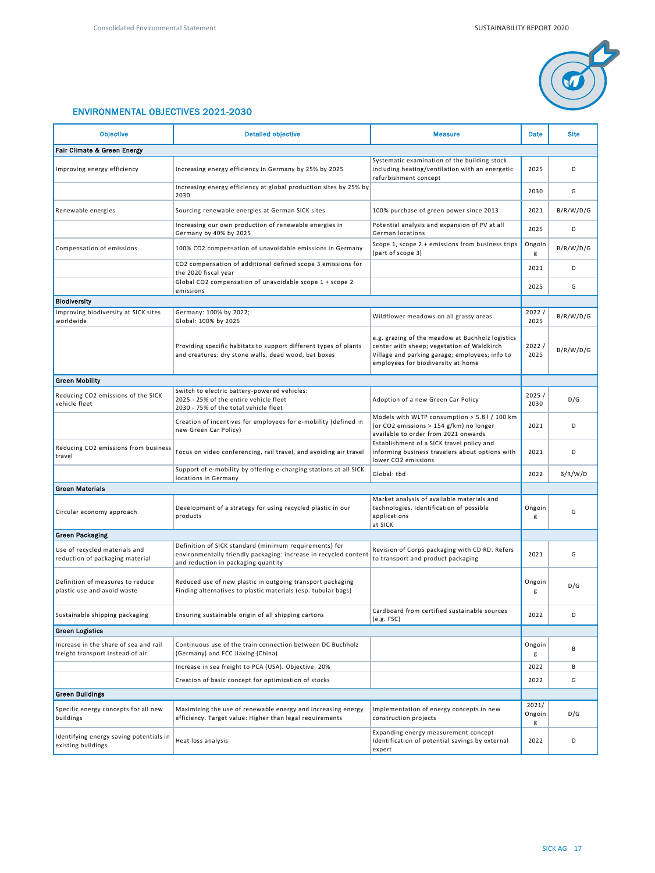

# ENVIRONMENTAL OBJECTIVES 2021-2030

| <b>Objective</b><br><b>Detailed objective</b><br><b>Measure</b>           |                                                                                                                                                                                    |                                                                                                                                                                                        | <b>Date</b>          | <b>Site</b> |  |  |  |  |
|---------------------------------------------------------------------------|------------------------------------------------------------------------------------------------------------------------------------------------------------------------------------|----------------------------------------------------------------------------------------------------------------------------------------------------------------------------------------|----------------------|-------------|--|--|--|--|
| Fair Climate & Green Energy                                               |                                                                                                                                                                                    |                                                                                                                                                                                        |                      |             |  |  |  |  |
| Improving energy efficiency                                               | Systematic examination of the building stock<br>Increasing energy efficiency in Germany by 25% by 2025<br>including heating/ventilation with an energetic<br>refurbishment concept |                                                                                                                                                                                        | 2025                 | D           |  |  |  |  |
|                                                                           | Increasing energy efficiency at global production sites by 25% by<br>2030                                                                                                          |                                                                                                                                                                                        | 2030                 | G           |  |  |  |  |
| Renewable energies                                                        | Sourcing renewable energies at German SICK sites                                                                                                                                   | 100% purchase of green power since 2013                                                                                                                                                | 2021                 | B/R/W/D/G   |  |  |  |  |
|                                                                           | Increasing our own production of renewable energies in<br>Germany by 40% by 2025                                                                                                   | Potential analysis and expansion of PV at all<br>German locations                                                                                                                      | 2025                 | D           |  |  |  |  |
| Compensation of emissions                                                 | 100% CO2 compensation of unavoidable emissions in Germany                                                                                                                          | Scope 1, scope $2 +$ emissions from business trips<br>(part of scope 3)                                                                                                                | Ongoin<br>g          | B/R/W/D/G   |  |  |  |  |
|                                                                           | CO2 compensation of additional defined scope 3 emissions for<br>the 2020 fiscal year                                                                                               |                                                                                                                                                                                        | 2021                 | D           |  |  |  |  |
|                                                                           | Global CO2 compensation of unavoidable scope 1 + scope 2<br>emissions                                                                                                              |                                                                                                                                                                                        | 2025                 | G           |  |  |  |  |
| <b>Biodiversity</b>                                                       |                                                                                                                                                                                    |                                                                                                                                                                                        |                      |             |  |  |  |  |
| Improving biodiversity at SICK sites<br>worldwide                         | Germany: 100% by 2022;<br>Global: 100% by 2025                                                                                                                                     | Wildflower meadows on all grassy areas                                                                                                                                                 | 2022/<br>2025        | B/R/W/D/G   |  |  |  |  |
|                                                                           | Providing specific habitats to support different types of plants<br>and creatures: dry stone walls, dead wood, bat boxes                                                           | e.g. grazing of the meadow at Buchholz logistics<br>center with sheep; vegetation of Waldkirch<br>Village and parking garage; employees; info to<br>employees for biodiversity at home | 2022/<br>2025        | B/R/W/D/G   |  |  |  |  |
| <b>Green Mobility</b>                                                     |                                                                                                                                                                                    |                                                                                                                                                                                        |                      |             |  |  |  |  |
| Reducing CO2 emissions of the SICK<br>vehicle fleet                       | Switch to electric battery-powered vehicles:<br>2025 - 25% of the entire vehicle fleet<br>2030 - 75% of the total vehicle fleet                                                    | Adoption of a new Green Car Policy                                                                                                                                                     | 2025 /<br>2030       | D/G         |  |  |  |  |
|                                                                           | Creation of incentives for employees for e-mobility (defined in<br>new Green Car Policy)                                                                                           | Models with WLTP consumption > 5.8 l / 100 km<br>(or CO2 emissions > 154 g/km) no longer<br>available to order from 2021 onwards                                                       | 2021                 | D           |  |  |  |  |
| Reducing CO2 emissions from business<br>travel                            | Focus on video conferencing, rail travel, and avoiding air travel                                                                                                                  | Establishment of a SICK travel policy and<br>informing business travelers about options with<br>lower CO2 emissions                                                                    | 2021                 | D           |  |  |  |  |
|                                                                           | Support of e-mobility by offering e-charging stations at all SICK<br>locations in Germany                                                                                          | Global: tbd                                                                                                                                                                            | 2022                 | B/R/W/D     |  |  |  |  |
| <b>Green Materials</b>                                                    |                                                                                                                                                                                    |                                                                                                                                                                                        |                      |             |  |  |  |  |
| Circular economy approach                                                 | Development of a strategy for using recycled plastic in our<br>products                                                                                                            | Market analysis of available materials and<br>technologies. Identification of possible<br>applications<br>at SICK                                                                      | Ongoin<br>g          | G           |  |  |  |  |
| <b>Green Packaging</b>                                                    |                                                                                                                                                                                    |                                                                                                                                                                                        |                      |             |  |  |  |  |
| Use of recycled materials and<br>reduction of packaging material          | Definition of SICK standard (minimum requirements) for<br>environmentally friendly packaging: increase in recycled content<br>and reduction in packaging quantity                  | Revision of CorpS packaging with CD RD. Refers<br>to transport and product packaging                                                                                                   | 2021                 | G           |  |  |  |  |
| Definition of measures to reduce<br>plastic use and avoid waste           | Reduced use of new plastic in outgoing transport packaging<br>Finding alternatives to plastic materials (esp. tubular bags)                                                        |                                                                                                                                                                                        | Ongoin<br>g          | D/G         |  |  |  |  |
| Sustainable shipping packaging                                            | Ensuring sustainable origin of all shipping cartons                                                                                                                                | Cardboard from certified sustainable sources<br>(e.g. FSC)                                                                                                                             | 2022                 | D           |  |  |  |  |
| <b>Green Logistics</b>                                                    |                                                                                                                                                                                    |                                                                                                                                                                                        |                      |             |  |  |  |  |
| Increase in the share of sea and rail<br>freight transport instead of air | Continuous use of the train connection between DC Buchholz<br>(Germany) and FCC Jiaxing (China)                                                                                    |                                                                                                                                                                                        | Ongoin<br>g          | В           |  |  |  |  |
|                                                                           | Increase in sea freight to PCA (USA). Objective: 20%                                                                                                                               |                                                                                                                                                                                        | 2022                 | В           |  |  |  |  |
|                                                                           | Creation of basic concept for optimization of stocks                                                                                                                               |                                                                                                                                                                                        | 2022                 | G           |  |  |  |  |
| <b>Green Buildings</b>                                                    |                                                                                                                                                                                    |                                                                                                                                                                                        |                      |             |  |  |  |  |
| Specific energy concepts for all new<br>buildings                         | Maximizing the use of renewable energy and increasing energy<br>efficiency. Target value: Higher than legal requirements                                                           | Implementation of energy concepts in new<br>construction projects                                                                                                                      | 2021/<br>Ongoin<br>g | D/G         |  |  |  |  |
| Identifying energy saving potentials in<br>existing buildings             | Heat loss analysis                                                                                                                                                                 | Expanding energy measurement concept<br>Identification of potential savings by external<br>expert                                                                                      | 2022                 | D           |  |  |  |  |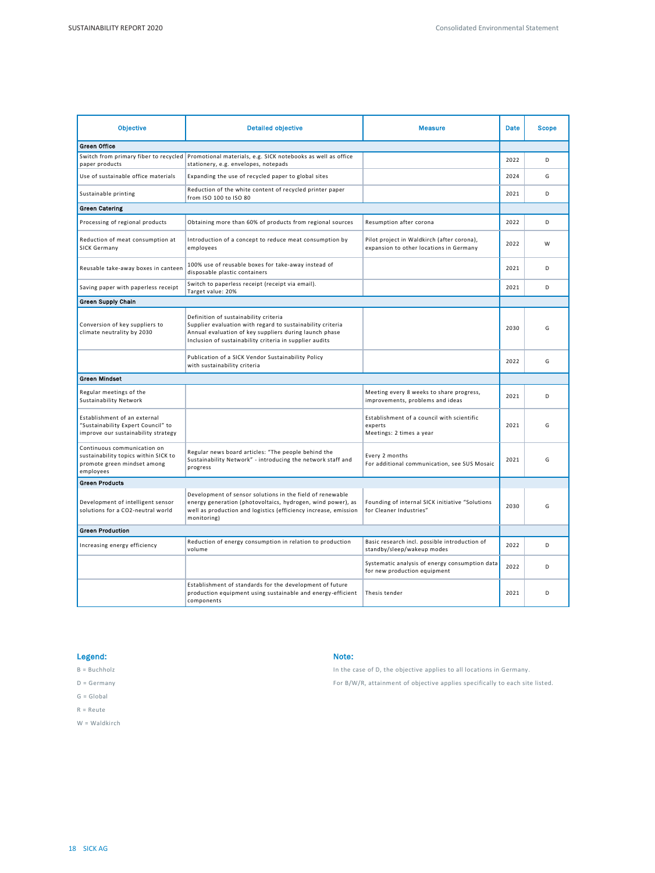| <b>Objective</b>                                                                                                | <b>Detailed objective</b>                                                                                                                                                                                                | <b>Measure</b>                                                                        | <b>Date</b> | <b>Scope</b> |
|-----------------------------------------------------------------------------------------------------------------|--------------------------------------------------------------------------------------------------------------------------------------------------------------------------------------------------------------------------|---------------------------------------------------------------------------------------|-------------|--------------|
| <b>Green Office</b>                                                                                             |                                                                                                                                                                                                                          |                                                                                       |             |              |
| paper products                                                                                                  | Switch from primary fiber to recycled Promotional materials, e.g. SICK notebooks as well as office<br>stationery, e.g. envelopes, notepads                                                                               |                                                                                       | 2022        | D            |
| Use of sustainable office materials                                                                             | Expanding the use of recycled paper to global sites                                                                                                                                                                      |                                                                                       | 2024        | G            |
| Sustainable printing                                                                                            | Reduction of the white content of recycled printer paper<br>from ISO 100 to ISO 80                                                                                                                                       |                                                                                       | 2021        | D            |
| <b>Green Catering</b>                                                                                           |                                                                                                                                                                                                                          |                                                                                       |             |              |
| Processing of regional products                                                                                 | Obtaining more than 60% of products from regional sources                                                                                                                                                                | Resumption after corona                                                               | 2022        | D            |
| Reduction of meat consumption at<br><b>SICK Germany</b>                                                         | Introduction of a concept to reduce meat consumption by<br>employees                                                                                                                                                     | Pilot project in Waldkirch (after corona),<br>expansion to other locations in Germany | 2022        | W            |
| Reusable take-away boxes in canteen                                                                             | 100% use of reusable boxes for take-away instead of<br>disposable plastic containers                                                                                                                                     |                                                                                       | 2021        | D            |
| Saving paper with paperless receipt                                                                             | Switch to paperless receipt (receipt via email).<br>Target value: 20%                                                                                                                                                    |                                                                                       | 2021        | D            |
| Green Supply Chain                                                                                              |                                                                                                                                                                                                                          |                                                                                       |             |              |
| Conversion of key suppliers to<br>climate neutrality by 2030                                                    | Definition of sustainability criteria<br>Supplier evaluation with regard to sustainability criteria<br>Annual evaluation of key suppliers during launch phase<br>Inclusion of sustainability criteria in supplier audits |                                                                                       | 2030        | G            |
|                                                                                                                 | Publication of a SICK Vendor Sustainability Policy<br>with sustainability criteria                                                                                                                                       |                                                                                       | 2022        | G            |
| <b>Green Mindset</b>                                                                                            |                                                                                                                                                                                                                          |                                                                                       |             |              |
| Regular meetings of the<br>Sustainability Network                                                               |                                                                                                                                                                                                                          | Meeting every 8 weeks to share progress,<br>improvements, problems and ideas          | 2021        | D            |
| Establishment of an external<br>"Sustainability Expert Council" to<br>improve our sustainability strategy       |                                                                                                                                                                                                                          | Establishment of a council with scientific<br>experts<br>Meetings: 2 times a year     | 2021        | G            |
| Continuous communication on<br>sustainability topics within SICK to<br>promote green mindset among<br>employees | Regular news board articles: "The people behind the<br>Sustainability Network" - introducing the network staff and<br>progress                                                                                           | Every 2 months<br>For additional communication, see SUS Mosaic                        | 2021        | G            |
| <b>Green Products</b>                                                                                           |                                                                                                                                                                                                                          |                                                                                       |             |              |
| Development of intelligent sensor<br>solutions for a CO2-neutral world                                          | Development of sensor solutions in the field of renewable<br>energy generation (photovoltaics, hydrogen, wind power), as<br>well as production and logistics (efficiency increase, emission<br>monitoring)               | Founding of internal SICK initiative "Solutions<br>for Cleaner Industries"            | 2030        | G            |
| <b>Green Production</b>                                                                                         |                                                                                                                                                                                                                          |                                                                                       |             |              |
| Increasing energy efficiency                                                                                    | Reduction of energy consumption in relation to production<br>volume                                                                                                                                                      | Basic research incl. possible introduction of<br>standby/sleep/wakeup modes           | 2022        | D            |
|                                                                                                                 |                                                                                                                                                                                                                          | Systematic analysis of energy consumption data<br>for new production equipment        | 2022        | D            |
|                                                                                                                 | Establishment of standards for the development of future<br>production equipment using sustainable and energy-efficient<br>components                                                                                    | Thesis tender                                                                         | 2021        | D            |

Legend:

B = Buchholz

D = Germany

G = Global

R = Reute

W = Waldkirch

#### Note:

In the case of D, the objective applies to all locations in Germany.

For B/W/R, attainment of objective applies specifically to each site listed.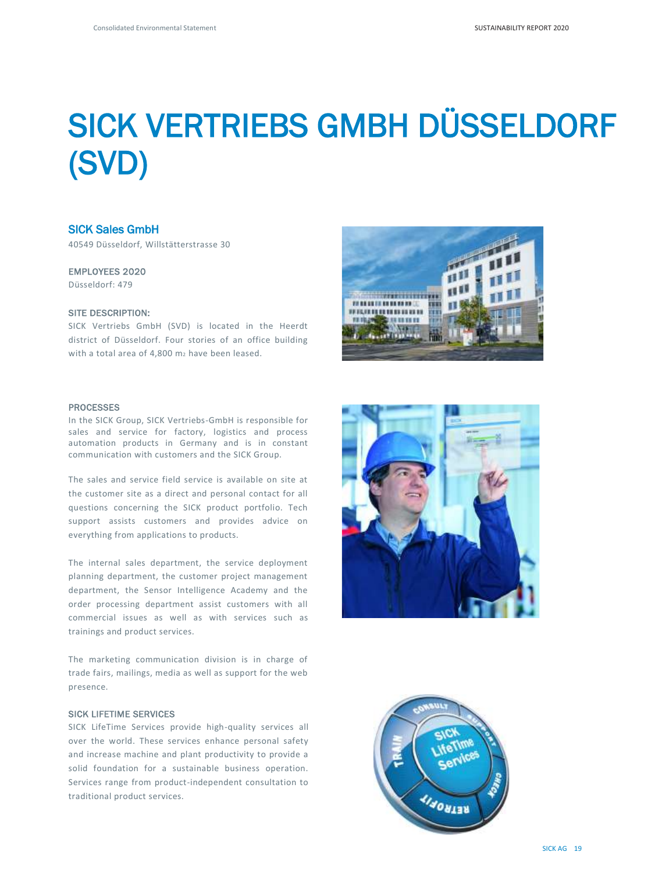# SICK VERTRIEBS GMBH DÜSSELDORF (SVD)

# SICK Sales GmbH

40549 Düsseldorf, Willstätterstrasse 30

#### EMPLOYEES 2020

Düsseldorf: 479

### SITE DESCRIPTION:

SICK Vertriebs GmbH (SVD) is located in the Heerdt district of Düsseldorf. Four stories of an office building with a total area of 4,800 m<sub>2</sub> have been leased.



#### **PROCESSES**

In the SICK Group, SICK Vertriebs-GmbH is responsible for sales and service for factory, logistics and process automation products in Germany and is in constant communication with customers and the SICK Group.

The sales and service field service is available on site at the customer site as a direct and personal contact for all questions concerning the SICK product portfolio. Tech support assists customers and provides advice on everything from applications to products.

The internal sales department, the service deployment planning department, the customer project management department, the Sensor Intelligence Academy and the order processing department assist customers with all commercial issues as well as with services such as trainings and product services.

The marketing communication division is in charge of trade fairs, mailings, media as well as support for the web presence.

#### SICK LIFETIME SERVICES

SICK LifeTime Services provide high-quality services all over the world. These services enhance personal safety and increase machine and plant productivity to provide a solid foundation for a sustainable business operation. Services range from product-independent consultation to traditional product services.



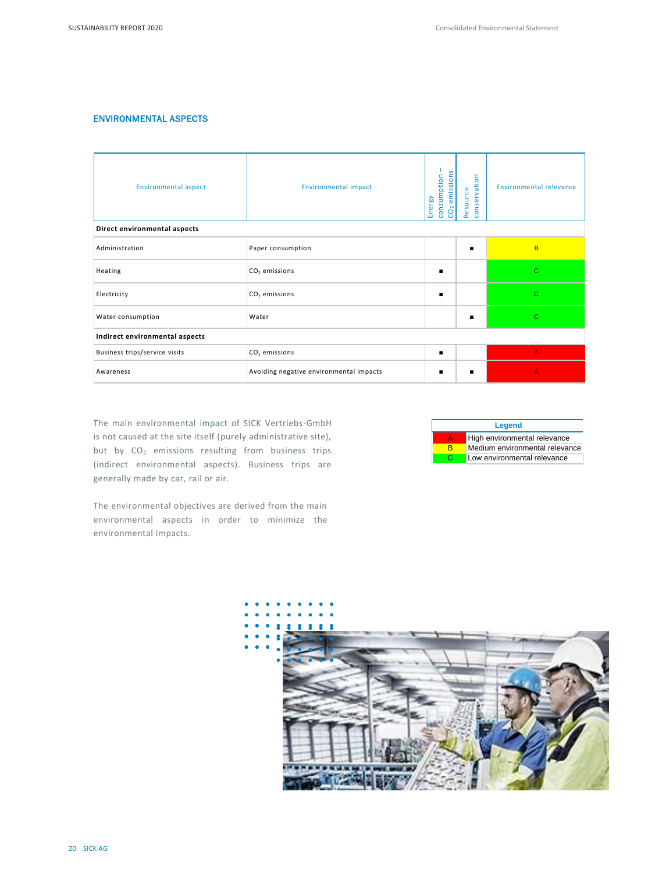# ENVIRONMENTAL ASPECTS

| <b>Environmental aspect</b>    | <b>Environmental impact</b>             | emissions<br>consumption<br>Energy<br>$\ddot{o}$<br>$\overline{O}$ | $\mathbf{r}$<br>$\circ$<br>rvatio<br>$\omega$<br>ē<br>Þ<br><b>Sei</b><br>$\circ$<br>$\overline{a}$<br>$\epsilon$<br><b>B</b><br>$\mathbf{\omega}$<br>œ. | <b>Environmental relevance</b> |
|--------------------------------|-----------------------------------------|--------------------------------------------------------------------|---------------------------------------------------------------------------------------------------------------------------------------------------------|--------------------------------|
| Direct environmental aspects   |                                         |                                                                    |                                                                                                                                                         |                                |
| Administration                 | Paper consumption                       |                                                                    | $\blacksquare$                                                                                                                                          | B.                             |
| Heating                        | $CO2$ emissions                         | $\blacksquare$                                                     |                                                                                                                                                         | $\mathbf{C}$                   |
| Electricity                    | $CO2$ emissions                         |                                                                    |                                                                                                                                                         | C.                             |
| Water consumption              | Water                                   |                                                                    | ٠                                                                                                                                                       | Ċ                              |
| Indirect environmental aspects |                                         |                                                                    |                                                                                                                                                         |                                |
| Business trips/service visits  | $CO2$ emissions                         | $\blacksquare$                                                     |                                                                                                                                                         | A.                             |
| Awareness                      | Avoiding negative environmental impacts |                                                                    | п                                                                                                                                                       | A                              |

The main environmental impact of SICK Vertriebs-GmbH is not caused at the site itself (purely administrative site), but by CO<sub>2</sub> emissions resulting from business trips (indirect environmental aspects). Business trips are generally made by car, rail or air.

The environmental objectives are derived from the main environmental aspects in order to minimize the environmental impacts.



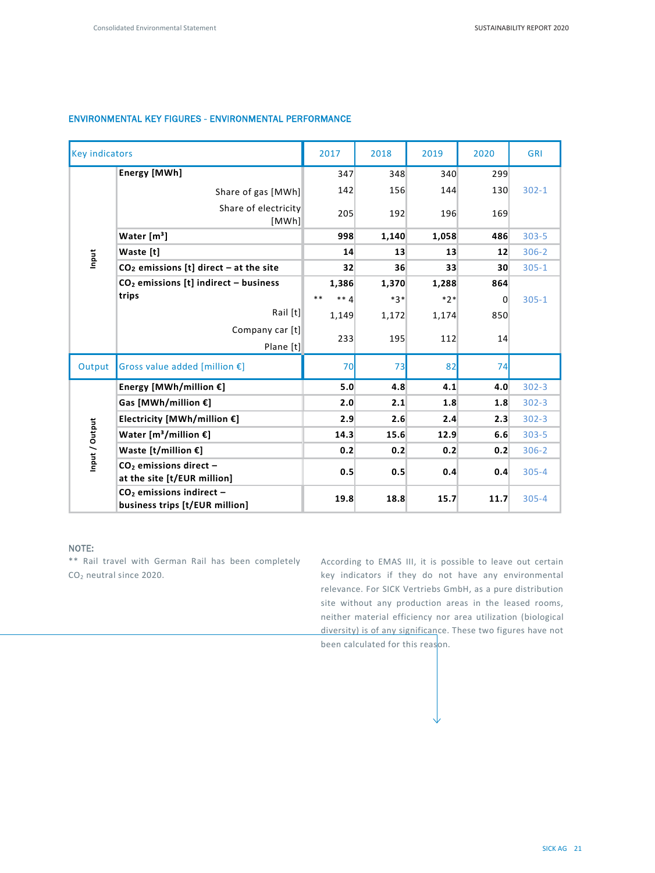# ENVIRONMENTAL KEY FIGURES - ENVIRONMENTAL PERFORMANCE

| <b>Key indicators</b> |                                                              | 2017                | 2018  | 2019  | 2020           | GRI       |
|-----------------------|--------------------------------------------------------------|---------------------|-------|-------|----------------|-----------|
|                       | Energy [MWh]                                                 | 347                 | 348   | 340   | 299            |           |
|                       | Share of gas [MWh]                                           | 142                 | 156   | 144   | 130            | $302 - 1$ |
|                       | Share of electricity<br>[MWh]                                | 205                 | 192   | 196   | 169            |           |
|                       | Water $[m3]$                                                 | 998                 | 1,140 | 1,058 | 486            | $303 - 5$ |
| Input                 | Waste [t]                                                    | 14                  | 13    | 13    | 12             | $306 - 2$ |
|                       | $CO2$ emissions [t] direct - at the site                     | 32                  | 36    | 33    | 30             | $305 - 1$ |
|                       | $CO2$ emissions [t] indirect - business                      | 1,386               | 1,370 | 1,288 | 864            |           |
|                       | trips                                                        | **<br>$**$ $\Delta$ | $*3*$ | $*2*$ | $\overline{0}$ | $305 - 1$ |
|                       | Rail [t]                                                     | 1,149               | 1,172 | 1,174 | 850            |           |
|                       | Company car [t]<br>Plane [t]                                 | 233                 | 195   | 112   | 14             |           |
| Output                | Gross value added [million $E$ ]                             | 70                  | 73    | 82    | 74             |           |
|                       | Energy [MWh/million $E$ ]                                    | 5.0                 | 4.8   | 4.1   | 4.0            | $302 - 3$ |
|                       | Gas [MWh/million $E$ ]                                       | 2.0                 | 2.1   | 1.8   | 1.8            | $302 - 3$ |
|                       | Electricity [MWh/million €]                                  | 2.9                 | 2.6   | 2.4   | 2.3            | $302 - 3$ |
| Input / Output        | Water $[m^3/m$ illion $E$ ]                                  | 14.3                | 15.6  | 12.9  | 6.6            | $303 - 5$ |
|                       | Waste [t/million $E$ ]                                       | 0.2                 | 0.2   | 0.2   | 0.2            | $306 - 2$ |
|                       | $CO2$ emissions direct -<br>at the site [t/EUR million]      | 0.5                 | 0.5   | 0.4   | 0.4            | $305 - 4$ |
|                       | $CO2$ emissions indirect -<br>business trips [t/EUR million] | 19.8                | 18.8  | 15.7  | 11.7           | $305 - 4$ |

#### NOTE:

\*\* Rail travel with German Rail has been completely CO<sup>2</sup> neutral since 2020.

According to EMAS III, it is possible to leave out certain key indicators if they do not have any environmental relevance. For SICK Vertriebs GmbH, as a pure distribution site without any production areas in the leased rooms, neither material efficiency nor area utilization (biological diversity) is of any significance. These two figures have not been calculated for this reason.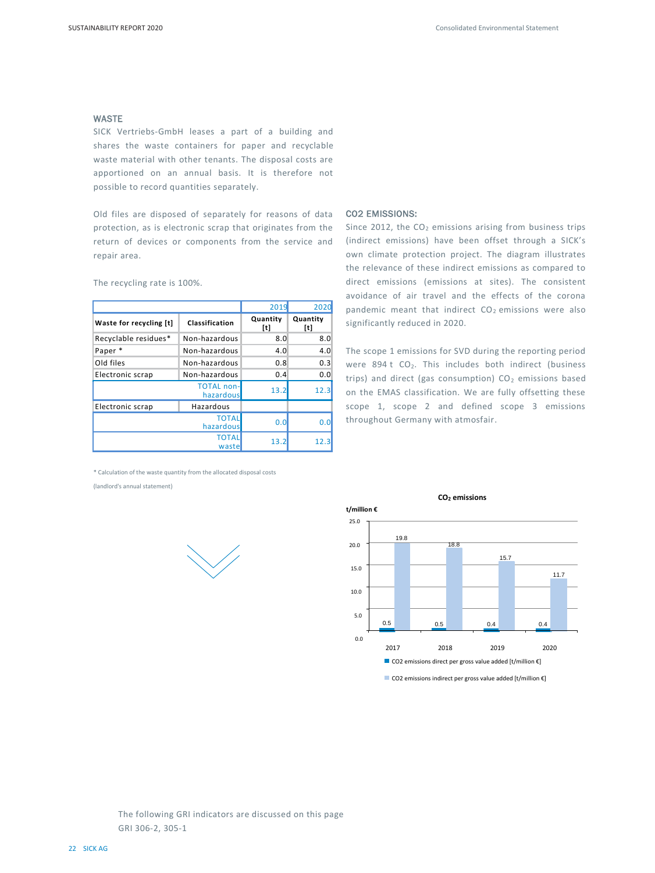#### WASTE

SICK Vertriebs-GmbH leases a part of a building and shares the waste containers for paper and recyclable waste material with other tenants. The disposal costs are apportioned on an annual basis. It is therefore not possible to record quantities separately.

Old files are disposed of separately for reasons of data protection, as is electronic scrap that originates from the return of devices or components from the service and repair area.

2019 2020 **Waste for recycling [t] Classification Quantity [t] Quantity [t]** Recyclable residues\* Non-hazardous 8.0 8.0 Paper \* Non-hazardous 4.0 4.0 4.0 Old files Non-hazardous 0.8 0.3 Electronic scrap Non-hazardous 0.4 0.0 TOTAL non- $\begin{array}{ccc}\n\text{101AL non-} \\
\text{hazardous} \\
\end{array}$  13.2 12.3 Electronic scrap | Hazardous **TOTAL** hazardous 0.0 0.0 **TOTAL**  $\begin{array}{|c|c|c|c|}\n \hline\n \text{waste} & \text{13.2} & \text{12.3} \\
 \hline\n \end{array}$ 

The recycling rate is 100%.

#### \* Calculation of the waste quantity from the allocated disposal costs

(landlord's annual statement)

#### CO2 EMISSIONS:

Since 2012, the  $CO<sub>2</sub>$  emissions arising from business trips (indirect emissions) have been offset through a SICK's own climate protection project. The diagram illustrates the relevance of these indirect emissions as compared to direct emissions (emissions at sites). The consistent avoidance of air travel and the effects of the corona pandemic meant that indirect  $CO<sub>2</sub>$  emissions were also significantly reduced in 2020.

The scope 1 emissions for SVD during the reporting period were 894 t  $CO<sub>2</sub>$ . This includes both indirect (business trips) and direct (gas consumption)  $CO<sub>2</sub>$  emissions based on the EMAS classification. We are fully offsetting these scope 1, scope 2 and defined scope 3 emissions throughout Germany with atmosfair.



■ CO2 emissions indirect per gross value added [t/million €]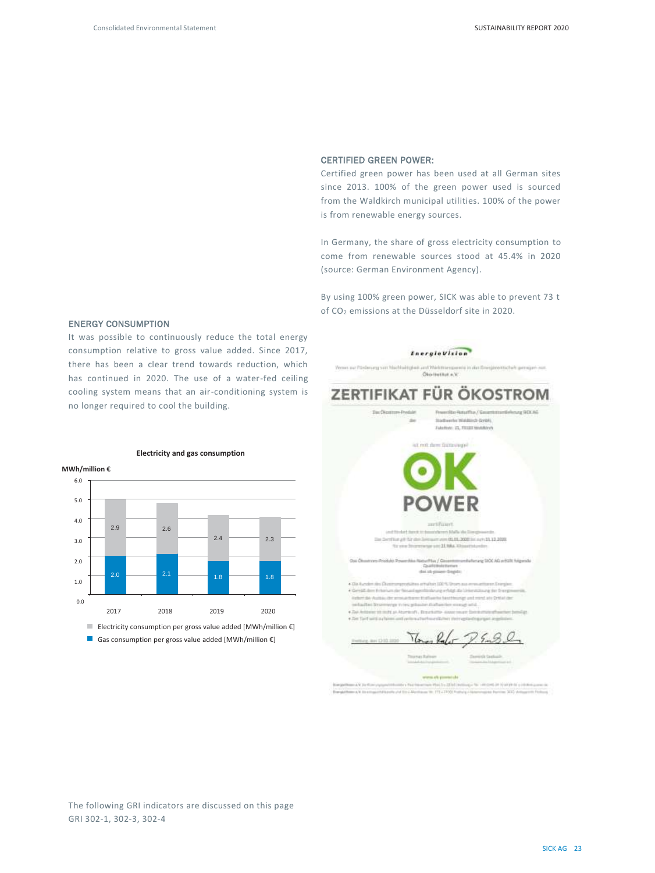haft gameigavi von

900AG

#### CERTIFIED GREEN POWER:

Certified green power has been used at all German sites since 2013. 100% of the green power used is sourced from the Waldkirch municipal utilities. 100% of the power is from renewable energy sources.

In Germany, the share of gross electricity consumption to come from renewable sources stood at 45.4% in 2020 (source: German Environment Agency).

By using 100% green power, SICK was able to prevent 73 t of CO<sub>2</sub> emissions at the Düsseldorf site in 2020.

# EnergieVision Wenex aux Princlerung vom hi and Markttorreport ZERTIFIKAT FÜR ÖKOSTROM **Stadbarrhy Widdlich Gridil Sec Bar, D. FEETWARING** 101.01.2020 lini ayrı 11.12.2020 Not all for door  $-11 + 0.04$  at 100  $-$ Des Ob  $tln/6$ Autorurar SICC AG artists Adamsk **Gui** data is given the pits · Dis Australian dies Distri emalian 100 % Shi Grid de Frie ng tion frong Partiert day Australia der arrosal than ein Kraftwerke Sand Hourige und mond alle Driftal der at 10 m/t at Auraca's, Deathern-sourcesce in Charles Communication  $\overline{u}$  $\ell$ Gas consumption per gross value added [MWh/million €]

#### ENERGY CONSUMPTION

It was possible to continuously reduce the total energy consumption relative to gross value added. Since 2017, there has been a clear trend towards reduction, which has continued in 2020. The use of a water-fed ceiling cooling system means that an air-conditioning system is no longer required to cool the building.



#### **Electricity and gas consumption**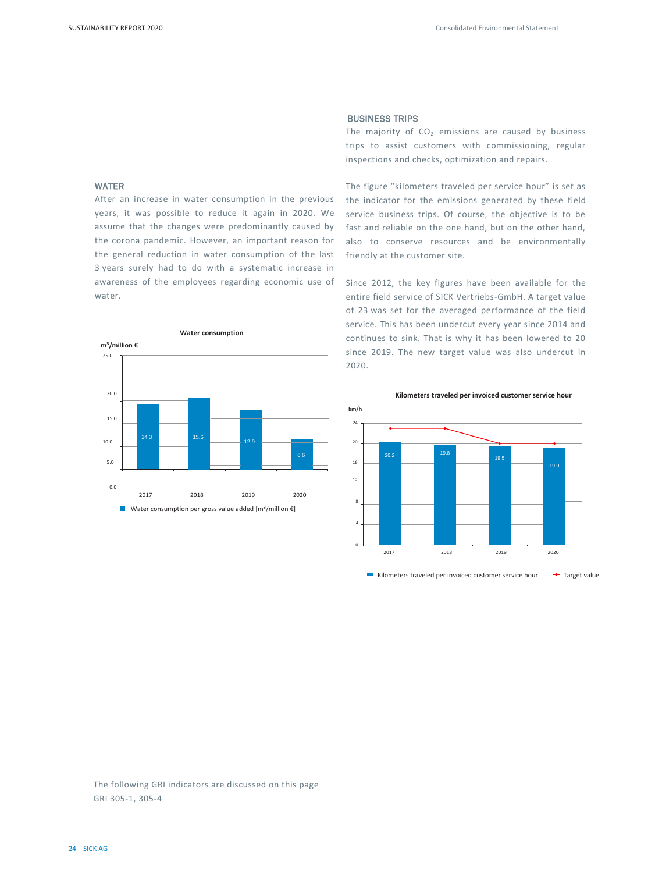#### WATER

After an increase in water consumption in the previous years, it was possible to reduce it again in 2020. We assume that the changes were predominantly caused by the corona pandemic. However, an important reason for the general reduction in water consumption of the last 3 years surely had to do with a systematic increase in awareness of the employees regarding economic use of water.



#### BUSINESS TRIPS

The majority of  $CO<sub>2</sub>$  emissions are caused by business trips to assist customers with commissioning, regular inspections and checks, optimization and repairs.

The figure "kilometers traveled per service hour" is set as the indicator for the emissions generated by these field service business trips. Of course, the objective is to be fast and reliable on the one hand, but on the other hand, also to conserve resources and be environmentally friendly at the customer site.

Since 2012, the key figures have been available for the entire field service of SICK Vertriebs-GmbH. A target value of 23 was set for the averaged performance of the field service. This has been undercut every year since 2014 and continues to sink. That is why it has been lowered to 20 since 2019. The new target value was also undercut in 2020.

**Kilometers traveled per invoiced customer service hour**



Kilometers traveled per invoiced customer service hour  $\rightarrow$  Target value

The following GRI indicators are discussed on this page GRI 305-1, 305-4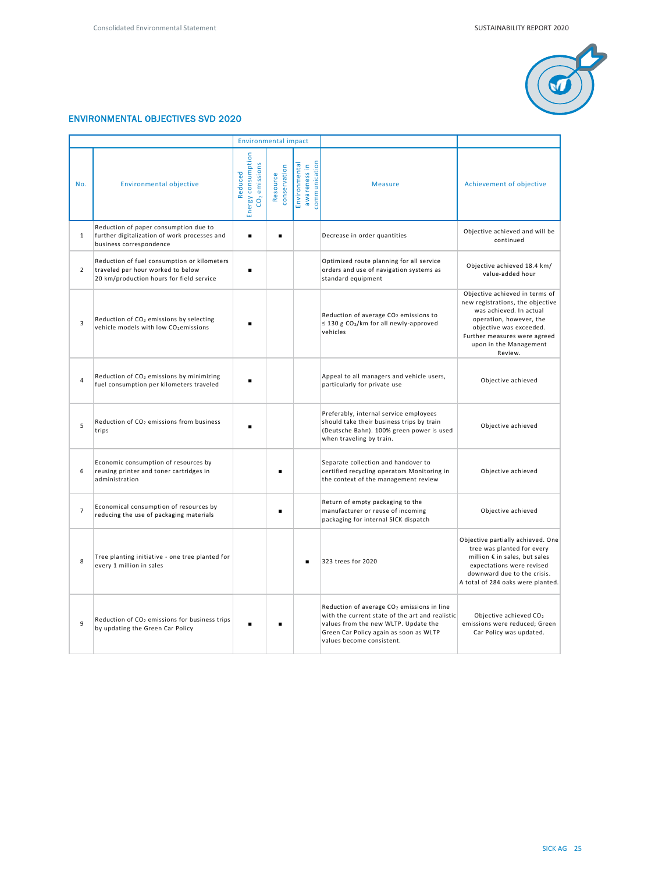

# ENVIRONMENTAL OBJECTIVES SVD 2020

|                |                                                                                                                              | <b>Environmental impact</b>                      |                          |                                                |                                                                                                                                                                                                                          |                                                                                                                                                                                                                          |
|----------------|------------------------------------------------------------------------------------------------------------------------------|--------------------------------------------------|--------------------------|------------------------------------------------|--------------------------------------------------------------------------------------------------------------------------------------------------------------------------------------------------------------------------|--------------------------------------------------------------------------------------------------------------------------------------------------------------------------------------------------------------------------|
| No.            | <b>Environmental objective</b>                                                                                               | Energy consumption<br>$CO2$ emissions<br>Reduced | conservation<br>Resource | awareness in<br>communication<br>Environmental | <b>Measure</b>                                                                                                                                                                                                           | Achievement of objective                                                                                                                                                                                                 |
| $\mathbf{1}$   | Reduction of paper consumption due to<br>further digitalization of work processes and<br>business correspondence             | ٠                                                | $\blacksquare$           |                                                | Decrease in order quantities                                                                                                                                                                                             | Objective achieved and will be<br>continued                                                                                                                                                                              |
| $\overline{2}$ | Reduction of fuel consumption or kilometers<br>traveled per hour worked to below<br>20 km/production hours for field service | ٠                                                |                          |                                                | Optimized route planning for all service<br>orders and use of navigation systems as<br>standard equipment                                                                                                                | Objective achieved 18.4 km/<br>value-added hour                                                                                                                                                                          |
| 3              | Reduction of CO <sub>2</sub> emissions by selecting<br>vehicle models with low CO <sub>2</sub> emissions                     |                                                  |                          |                                                | Reduction of average CO <sub>2</sub> emissions to<br>$\leq$ 130 g CO <sub>2</sub> /km for all newly-approved<br>vehicles                                                                                                 | Objective achieved in terms of<br>new registrations, the objective<br>was achieved. In actual<br>operation, however, the<br>objective was exceeded.<br>Further measures were agreed<br>upon in the Management<br>Review. |
| $\overline{4}$ | Reduction of CO <sub>2</sub> emissions by minimizing<br>fuel consumption per kilometers traveled                             |                                                  |                          |                                                | Appeal to all managers and vehicle users,<br>particularly for private use                                                                                                                                                | Objective achieved                                                                                                                                                                                                       |
| 5              | Reduction of CO <sub>2</sub> emissions from business<br>trips                                                                |                                                  |                          |                                                | Preferably, internal service employees<br>should take their business trips by train<br>(Deutsche Bahn). 100% green power is used<br>when traveling by train.                                                             | Objective achieved                                                                                                                                                                                                       |
| 6              | Economic consumption of resources by<br>reusing printer and toner cartridges in<br>administration                            |                                                  |                          |                                                | Separate collection and handover to<br>certified recycling operators Monitoring in<br>the context of the management review                                                                                               | Objective achieved                                                                                                                                                                                                       |
| $\overline{7}$ | Economical consumption of resources by<br>reducing the use of packaging materials                                            |                                                  |                          |                                                | Return of empty packaging to the<br>manufacturer or reuse of incoming<br>packaging for internal SICK dispatch                                                                                                            | Objective achieved                                                                                                                                                                                                       |
| 8              | Tree planting initiative - one tree planted for<br>every 1 million in sales                                                  |                                                  |                          |                                                | 323 trees for 2020                                                                                                                                                                                                       | Objective partially achieved. One<br>tree was planted for every<br>million € in sales, but sales<br>expectations were revised<br>downward due to the crisis.<br>A total of 284 oaks were planted.                        |
| 9              | Reduction of CO <sub>2</sub> emissions for business trips<br>by updating the Green Car Policy                                |                                                  |                          |                                                | Reduction of average CO <sub>2</sub> emissions in line<br>with the current state of the art and realistic<br>values from the new WLTP. Update the<br>Green Car Policy again as soon as WLTP<br>values become consistent. | Objective achieved CO <sub>2</sub><br>emissions were reduced; Green<br>Car Policy was updated.                                                                                                                           |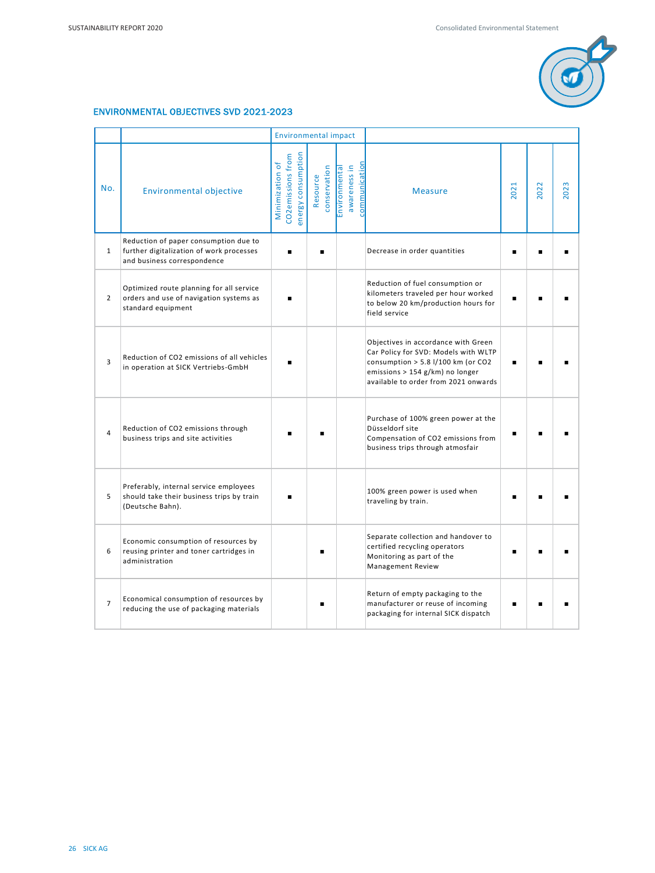

# ENVIRONMENTAL OBJECTIVES SVD 2021-2023

|                |                                                                                                                  | <b>Environmental impact</b>                                |                          |                                                |                                                                                                                                                                                                |      |      |      |
|----------------|------------------------------------------------------------------------------------------------------------------|------------------------------------------------------------|--------------------------|------------------------------------------------|------------------------------------------------------------------------------------------------------------------------------------------------------------------------------------------------|------|------|------|
| No.            | <b>Environmental objective</b>                                                                                   | energy consumption<br>CO2emissions from<br>Minimization of | conservation<br>Resource | communication<br>awareness in<br>Environmental | <b>Measure</b>                                                                                                                                                                                 | 2021 | 2022 | 2023 |
| $\mathbf{1}$   | Reduction of paper consumption due to<br>further digitalization of work processes<br>and business correspondence |                                                            |                          |                                                | Decrease in order quantities                                                                                                                                                                   |      |      |      |
| $\overline{2}$ | Optimized route planning for all service<br>orders and use of navigation systems as<br>standard equipment        |                                                            |                          |                                                | Reduction of fuel consumption or<br>kilometers traveled per hour worked<br>to below 20 km/production hours for<br>field service                                                                |      |      |      |
| 3              | Reduction of CO2 emissions of all vehicles<br>in operation at SICK Vertriebs-GmbH                                |                                                            |                          |                                                | Objectives in accordance with Green<br>Car Policy for SVD: Models with WLTP<br>consumption > 5.8 $1/100$ km (or CO2<br>emissions > 154 g/km) no longer<br>available to order from 2021 onwards |      |      |      |
| 4              | Reduction of CO2 emissions through<br>business trips and site activities                                         |                                                            |                          |                                                | Purchase of 100% green power at the<br>Düsseldorf site<br>Compensation of CO2 emissions from<br>business trips through atmosfair                                                               |      |      |      |
| 5              | Preferably, internal service employees<br>should take their business trips by train<br>(Deutsche Bahn).          |                                                            |                          |                                                | 100% green power is used when<br>traveling by train.                                                                                                                                           |      |      |      |
| 6              | Economic consumption of resources by<br>reusing printer and toner cartridges in<br>administration                |                                                            |                          |                                                | Separate collection and handover to<br>certified recycling operators<br>Monitoring as part of the<br><b>Management Review</b>                                                                  |      |      |      |
| $\overline{7}$ | Economical consumption of resources by<br>reducing the use of packaging materials                                |                                                            |                          |                                                | Return of empty packaging to the<br>manufacturer or reuse of incoming<br>packaging for internal SICK dispatch                                                                                  |      |      |      |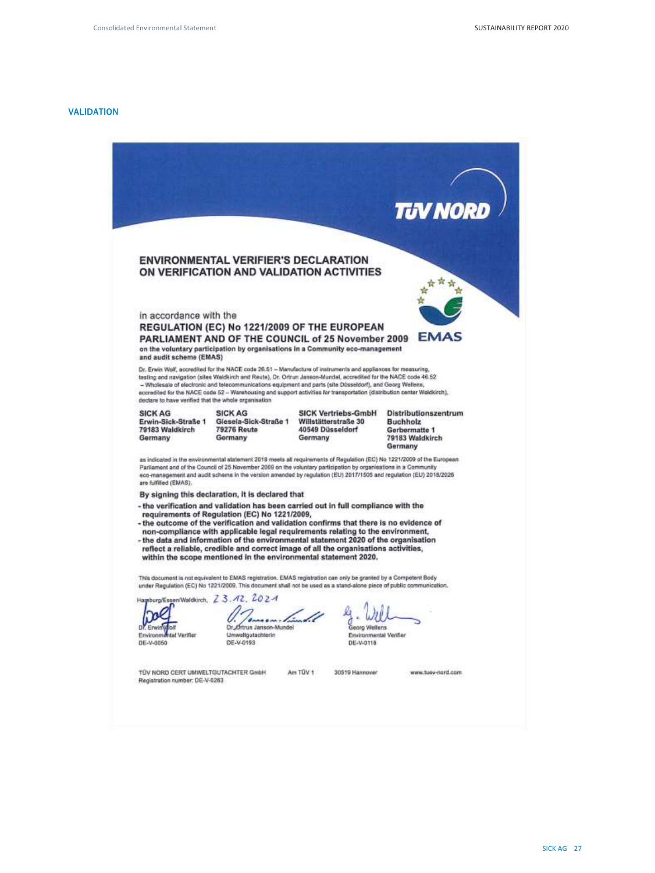# VALIDATION

|                                                                                    |                                                                   |                                                                                                                                                                                                                                                                                                                                                                                                                                                                                                                | TUV NORD                                                                               |
|------------------------------------------------------------------------------------|-------------------------------------------------------------------|----------------------------------------------------------------------------------------------------------------------------------------------------------------------------------------------------------------------------------------------------------------------------------------------------------------------------------------------------------------------------------------------------------------------------------------------------------------------------------------------------------------|----------------------------------------------------------------------------------------|
|                                                                                    |                                                                   |                                                                                                                                                                                                                                                                                                                                                                                                                                                                                                                |                                                                                        |
|                                                                                    | <b>ENVIRONMENTAL VERIFIER'S DECLARATION</b>                       |                                                                                                                                                                                                                                                                                                                                                                                                                                                                                                                |                                                                                        |
|                                                                                    |                                                                   | ON VERIFICATION AND VALIDATION ACTIVITIES                                                                                                                                                                                                                                                                                                                                                                                                                                                                      |                                                                                        |
|                                                                                    |                                                                   |                                                                                                                                                                                                                                                                                                                                                                                                                                                                                                                |                                                                                        |
| in accordance with the                                                             |                                                                   | REGULATION (EC) No 1221/2009 OF THE EUROPEAN                                                                                                                                                                                                                                                                                                                                                                                                                                                                   |                                                                                        |
| and audit scheme (EMAS)                                                            |                                                                   | <b>PARLIAMENT AND OF THE COUNCIL of 25 November 2009</b><br>on the voluntary participation by organisations in a Community eco-management                                                                                                                                                                                                                                                                                                                                                                      | EMAS                                                                                   |
| declare to have verified that the whole organisation                               |                                                                   | Dr. Erwin Wolf, accredited for the NACE code 26.51 - Manufacture of instruments and appliances for measuring,<br>testing and navigation (sites Waldkirch and Reute), Dr. Ortrun Janson-Mundel, accredited for the NACE code 46.52<br>- Wholesale of electronic and telecommunications equipment and parts (site Disseldorf), and Georg Wellens,<br>accredited for the NACE code 52 -- Warehousing and support activities for transportation (distribution center Waldkirch),                                   |                                                                                        |
| <b>SICK AG</b><br>Erwin-Sick-Straße 1<br>79183 Waldkirch<br>Germany                | <b>SICK AG</b><br>Giesela-Sick-Straße 1<br>79276 Reute<br>Germany | <b>SICK Vertriebs-GmbH</b><br>Willstätterstraße 30<br>40549 Düsseldorf<br>Germany                                                                                                                                                                                                                                                                                                                                                                                                                              | Distributionszentrum<br><b>Buchholz</b><br>Gerbermatte 1<br>79183 Waldkirch<br>Germany |
| are fulfilled (EMAS).                                                              |                                                                   | as indicated in the environmental statement 2019 meets all requirements of Regulation (EC) No 1221/2009 of the European<br>Parliament and of the Council of 25 November 2009 on the voluntary participation by organisations in a Community<br>eco-management and audit scheme in the version amended by regulation (EU) 2017/1505 and regulation (EU) 2018/2026                                                                                                                                               |                                                                                        |
|                                                                                    | By signing this declaration, it is declared that                  |                                                                                                                                                                                                                                                                                                                                                                                                                                                                                                                |                                                                                        |
|                                                                                    | requirements of Regulation (EC) No 1221/2009,                     | - the verification and validation has been carried out in full compliance with the<br>- the outcome of the verification and validation confirms that there is no evidence of<br>non-compliance with applicable legal requirements relating to the environment,<br>- the data and information of the environmental statement 2020 of the organisation<br>reflect a reliable, credible and correct image of all the organisations activities,<br>within the scope mentioned in the environmental statement 2020. |                                                                                        |
|                                                                                    |                                                                   | This document is not equivalent to EMAS registration. EMAS registration can only be granted by a Competent Body<br>under Regulation (EC) No 1221/2009. This document shall not be used as a stand-alone piece of public communication.                                                                                                                                                                                                                                                                         |                                                                                        |
| Hagsburg/Essen/Waldkirch, Z3.42, 2024<br>Dr. Erwiny folf<br>Environmental Verifier | Vermen Lindel<br>Dr., Ortmin Janson-Mundel<br>Umweltgutachterin   | Georg Wellans<br>Environmental Verifier                                                                                                                                                                                                                                                                                                                                                                                                                                                                        |                                                                                        |
| DE-V-0050                                                                          | DE-V-0193                                                         | DE-V-0118                                                                                                                                                                                                                                                                                                                                                                                                                                                                                                      |                                                                                        |
|                                                                                    |                                                                   |                                                                                                                                                                                                                                                                                                                                                                                                                                                                                                                |                                                                                        |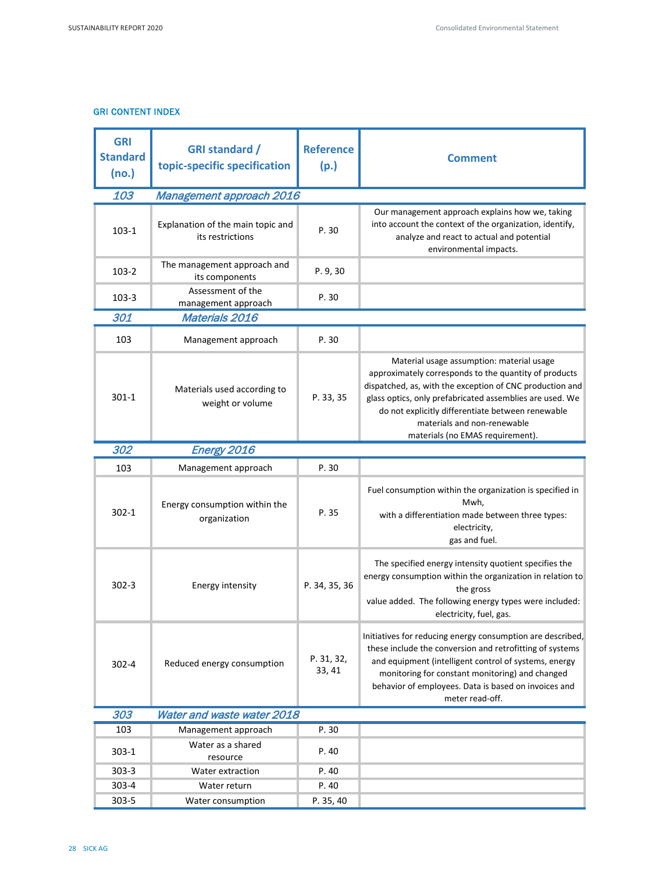# GRI CONTENT INDEX

| <b>GRI</b><br><b>Standard</b><br>(no.) | <b>GRI standard /</b><br>topic-specific specification | <b>Reference</b><br>(p.) | <b>Comment</b>                                                                                                                                                                                                                                                                                                                                     |  |
|----------------------------------------|-------------------------------------------------------|--------------------------|----------------------------------------------------------------------------------------------------------------------------------------------------------------------------------------------------------------------------------------------------------------------------------------------------------------------------------------------------|--|
| 103                                    | Management approach 2016                              |                          |                                                                                                                                                                                                                                                                                                                                                    |  |
| $103-1$                                | Explanation of the main topic and<br>its restrictions | P.30                     | Our management approach explains how we, taking<br>into account the context of the organization, identify,<br>analyze and react to actual and potential<br>environmental impacts.                                                                                                                                                                  |  |
| $103-2$                                | The management approach and<br>its components         | P. 9, 30                 |                                                                                                                                                                                                                                                                                                                                                    |  |
| $103-3$                                | Assessment of the<br>management approach              | P. 30                    |                                                                                                                                                                                                                                                                                                                                                    |  |
| 301                                    | Materials 2016                                        |                          |                                                                                                                                                                                                                                                                                                                                                    |  |
| 103                                    | Management approach                                   | P. 30                    |                                                                                                                                                                                                                                                                                                                                                    |  |
| $301 - 1$                              | Materials used according to<br>weight or volume       | P. 33, 35                | Material usage assumption: material usage<br>approximately corresponds to the quantity of products<br>dispatched, as, with the exception of CNC production and<br>glass optics, only prefabricated assemblies are used. We<br>do not explicitly differentiate between renewable<br>materials and non-renewable<br>materials (no EMAS requirement). |  |
| 302                                    | Energy 2016                                           |                          |                                                                                                                                                                                                                                                                                                                                                    |  |
| 103                                    | Management approach                                   | P.30                     |                                                                                                                                                                                                                                                                                                                                                    |  |
| $302 - 1$                              | Energy consumption within the<br>organization         | P.35                     | Fuel consumption within the organization is specified in<br>Mwh,<br>with a differentiation made between three types:<br>electricity,<br>gas and fuel.                                                                                                                                                                                              |  |
| $302 - 3$                              | Energy intensity                                      | P. 34, 35, 36            | The specified energy intensity quotient specifies the<br>energy consumption within the organization in relation to<br>the gross<br>value added. The following energy types were included:<br>electricity, fuel, gas.                                                                                                                               |  |
| $302 - 4$                              | Reduced energy consumption                            | P. 31, 32,<br>33, 41     | Initiatives for reducing energy consumption are described,<br>these include the conversion and retrofitting of systems<br>and equipment (intelligent control of systems, energy<br>monitoring for constant monitoring) and changed<br>behavior of employees. Data is based on invoices and<br>meter read-off.                                      |  |
| 303                                    | Water and waste water 2018                            |                          |                                                                                                                                                                                                                                                                                                                                                    |  |
| 103                                    | Management approach                                   | P. 30                    |                                                                                                                                                                                                                                                                                                                                                    |  |
| $303 - 1$                              | Water as a shared<br>resource                         | P. 40                    |                                                                                                                                                                                                                                                                                                                                                    |  |
| $303 - 3$                              | Water extraction                                      | P. 40                    |                                                                                                                                                                                                                                                                                                                                                    |  |
| 303-4                                  | Water return                                          | P. 40                    |                                                                                                                                                                                                                                                                                                                                                    |  |
| 303-5                                  | Water consumption                                     | P. 35, 40                |                                                                                                                                                                                                                                                                                                                                                    |  |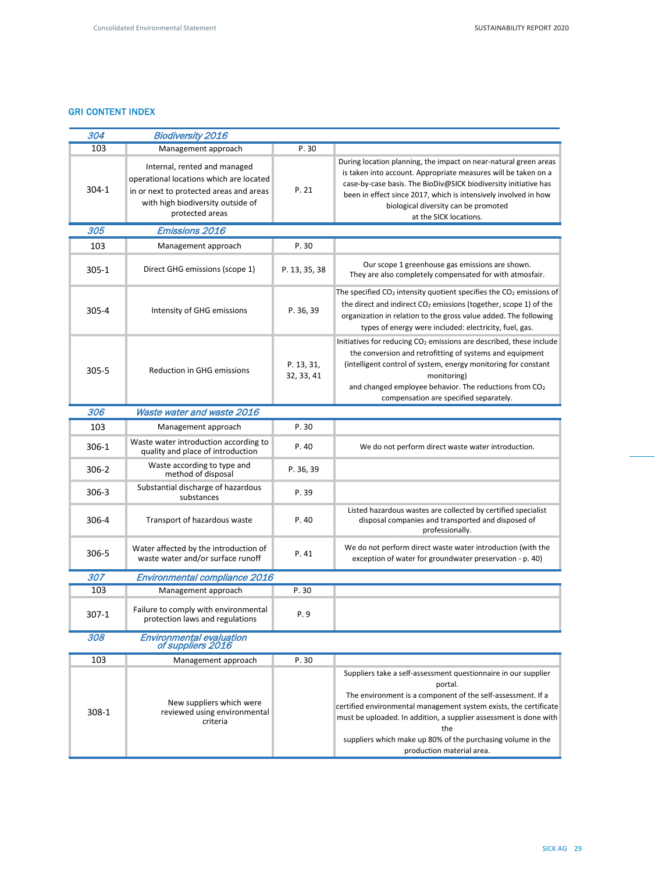# GRI CONTENT INDEX

| 304       | <b>Biodiversity 2016</b>                                                                                                                                                   |                          |                                                                                                                                                                                                                                                                                                                                                                                       |  |  |
|-----------|----------------------------------------------------------------------------------------------------------------------------------------------------------------------------|--------------------------|---------------------------------------------------------------------------------------------------------------------------------------------------------------------------------------------------------------------------------------------------------------------------------------------------------------------------------------------------------------------------------------|--|--|
| 103       | Management approach                                                                                                                                                        | P. 30                    |                                                                                                                                                                                                                                                                                                                                                                                       |  |  |
| 304-1     | Internal, rented and managed<br>operational locations which are located<br>in or next to protected areas and areas<br>with high biodiversity outside of<br>protected areas | P.21                     | During location planning, the impact on near-natural green areas<br>is taken into account. Appropriate measures will be taken on a<br>case-by-case basis. The BioDiv@SICK biodiversity initiative has<br>been in effect since 2017, which is intensively involved in how<br>biological diversity can be promoted<br>at the SICK locations.                                            |  |  |
| 305       | Emissions 2016                                                                                                                                                             |                          |                                                                                                                                                                                                                                                                                                                                                                                       |  |  |
| 103       | Management approach                                                                                                                                                        | P.30                     |                                                                                                                                                                                                                                                                                                                                                                                       |  |  |
| $305 - 1$ | Direct GHG emissions (scope 1)                                                                                                                                             | P. 13, 35, 38            | Our scope 1 greenhouse gas emissions are shown.<br>They are also completely compensated for with atmosfair.                                                                                                                                                                                                                                                                           |  |  |
| 305-4     | Intensity of GHG emissions                                                                                                                                                 | P. 36, 39                | The specified $CO2$ intensity quotient specifies the $CO2$ emissions of<br>the direct and indirect $CO2$ emissions (together, scope 1) of the<br>organization in relation to the gross value added. The following<br>types of energy were included: electricity, fuel, gas.                                                                                                           |  |  |
| $305 - 5$ | <b>Reduction in GHG emissions</b>                                                                                                                                          | P. 13, 31,<br>32, 33, 41 | Initiatives for reducing CO <sub>2</sub> emissions are described, these include<br>the conversion and retrofitting of systems and equipment<br>(intelligent control of system, energy monitoring for constant<br>monitoring)<br>and changed employee behavior. The reductions from CO <sub>2</sub><br>compensation are specified separately.                                          |  |  |
| 306       | Waste water and waste 2016                                                                                                                                                 |                          |                                                                                                                                                                                                                                                                                                                                                                                       |  |  |
| 103       | Management approach                                                                                                                                                        | P. 30                    |                                                                                                                                                                                                                                                                                                                                                                                       |  |  |
| 306-1     | Waste water introduction according to<br>quality and place of introduction                                                                                                 | P. 40                    | We do not perform direct waste water introduction.                                                                                                                                                                                                                                                                                                                                    |  |  |
| $306-2$   | Waste according to type and<br>method of disposal                                                                                                                          | P. 36, 39                |                                                                                                                                                                                                                                                                                                                                                                                       |  |  |
| $306 - 3$ | Substantial discharge of hazardous<br>substances                                                                                                                           | P.39                     |                                                                                                                                                                                                                                                                                                                                                                                       |  |  |
| 306-4     | Transport of hazardous waste                                                                                                                                               | P. 40                    | Listed hazardous wastes are collected by certified specialist<br>disposal companies and transported and disposed of<br>professionally.                                                                                                                                                                                                                                                |  |  |
| 306-5     | Water affected by the introduction of<br>waste water and/or surface runoff                                                                                                 | P.41                     | We do not perform direct waste water introduction (with the<br>exception of water for groundwater preservation - p. 40)                                                                                                                                                                                                                                                               |  |  |
| 307       | Environmental compliance 2016                                                                                                                                              |                          |                                                                                                                                                                                                                                                                                                                                                                                       |  |  |
| 103       | Management approach                                                                                                                                                        | P.30                     |                                                                                                                                                                                                                                                                                                                                                                                       |  |  |
| $307-1$   | Failure to comply with environmental<br>protection laws and regulations                                                                                                    | P. 9                     |                                                                                                                                                                                                                                                                                                                                                                                       |  |  |
| 308       | <b>Environmental evaluation</b><br>of suppliers 2016                                                                                                                       |                          |                                                                                                                                                                                                                                                                                                                                                                                       |  |  |
| 103       | Management approach                                                                                                                                                        | P.30                     |                                                                                                                                                                                                                                                                                                                                                                                       |  |  |
| 308-1     | New suppliers which were<br>reviewed using environmental<br>criteria                                                                                                       |                          | Suppliers take a self-assessment questionnaire in our supplier<br>portal.<br>The environment is a component of the self-assessment. If a<br>certified environmental management system exists, the certificate<br>must be uploaded. In addition, a supplier assessment is done with<br>the<br>suppliers which make up 80% of the purchasing volume in the<br>production material area. |  |  |